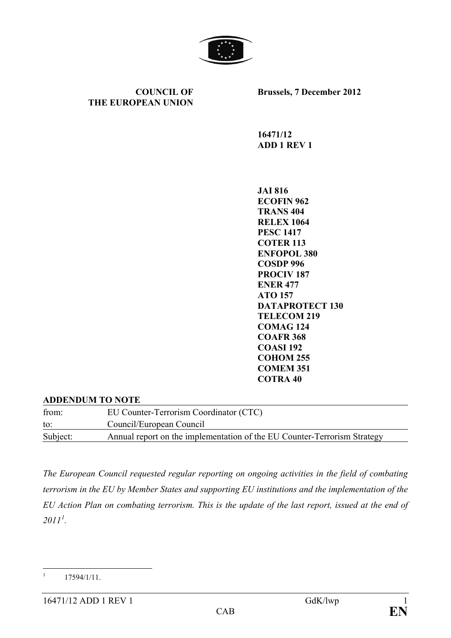

**COUNCIL OF THE EUROPEAN UNION** **Brussels, 7 December 2012**

**16471/12 ADD 1 REV 1**

**JAI 816 ECOFIN 962 TRANS 404 RELEX 1064 PESC 1417 COTER 113 ENFOPOL 380 COSDP 996 PROCIV 187 ENER 477 ATO 157 DATAPROTECT 130 TELECOM 219 COMAG 124 COAFR 368 COASI 192 COHOM 255 COMEM 351 COTRA 40**

#### **ADDENDUM TO NOTE**

| from:    | EU Counter-Terrorism Coordinator (CTC)                                   |
|----------|--------------------------------------------------------------------------|
| to:      | Council/European Council                                                 |
| Subject: | Annual report on the implementation of the EU Counter-Terrorism Strategy |

*The European Council requested regular reporting on ongoing activities in the field of combating terrorism in the EU by Member States and supporting EU institutions and the implementation of the EU Action Plan on combating terrorism. This is the update of the last report, issued at the end of 2011[1](#page-0-0) .* 

<span id="page-0-0"></span> $17594/1/11$ .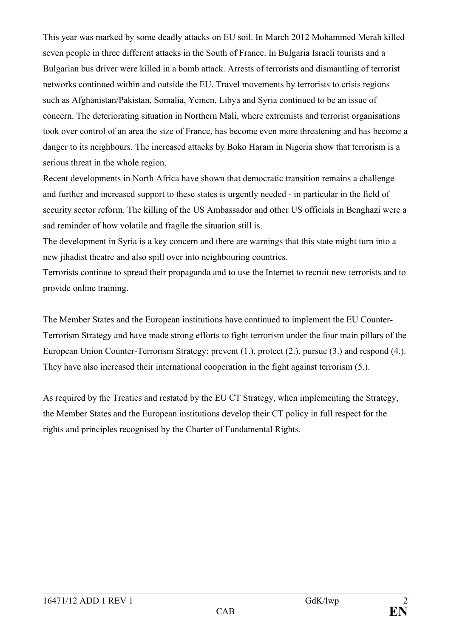This year was marked by some deadly attacks on EU soil. In March 2012 Mohammed Merah killed seven people in three different attacks in the South of France. In Bulgaria Israeli tourists and a Bulgarian bus driver were killed in a bomb attack. Arrests of terrorists and dismantling of terrorist networks continued within and outside the EU. Travel movements by terrorists to crisis regions such as Afghanistan/Pakistan, Somalia, Yemen, Libya and Syria continued to be an issue of concern. The deteriorating situation in Northern Mali, where extremists and terrorist organisations took over control of an area the size of France, has become even more threatening and has become a danger to its neighbours. The increased attacks by Boko Haram in Nigeria show that terrorism is a serious threat in the whole region.

Recent developments in North Africa have shown that democratic transition remains a challenge and further and increased support to these states is urgently needed - in particular in the field of security sector reform. The killing of the US Ambassador and other US officials in Benghazi were a sad reminder of how volatile and fragile the situation still is.

The development in Syria is a key concern and there are warnings that this state might turn into a new jihadist theatre and also spill over into neighbouring countries.

Terrorists continue to spread their propaganda and to use the Internet to recruit new terrorists and to provide online training.

The Member States and the European institutions have continued to implement the EU Counter-Terrorism Strategy and have made strong efforts to fight terrorism under the four main pillars of the European Union Counter-Terrorism Strategy: prevent (1.), protect (2.), pursue (3.) and respond (4.). They have also increased their international cooperation in the fight against terrorism (5.).

As required by the Treaties and restated by the EU CT Strategy, when implementing the Strategy, the Member States and the European institutions develop their CT policy in full respect for the rights and principles recognised by the Charter of Fundamental Rights.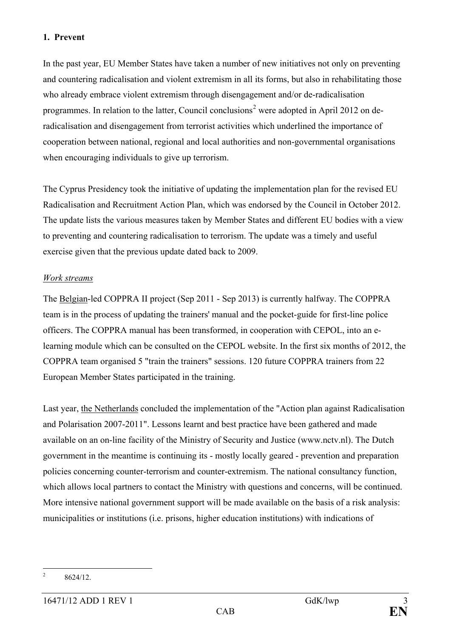#### **1. Prevent**

In the past year, EU Member States have taken a number of new initiatives not only on preventing and countering radicalisation and violent extremism in all its forms, but also in rehabilitating those who already embrace violent extremism through disengagement and/or de-radicalisation programmes. In relation to the latter, Council conclusions<sup>[2](#page-2-0)</sup> were adopted in April 2012 on deradicalisation and disengagement from terrorist activities which underlined the importance of cooperation between national, regional and local authorities and non-governmental organisations when encouraging individuals to give up terrorism.

The Cyprus Presidency took the initiative of updating the implementation plan for the revised EU Radicalisation and Recruitment Action Plan, which was endorsed by the Council in October 2012. The update lists the various measures taken by Member States and different EU bodies with a view to preventing and countering radicalisation to terrorism. The update was a timely and useful exercise given that the previous update dated back to 2009.

### *Work streams*

The Belgian-led COPPRA II project (Sep 2011 - Sep 2013) is currently halfway. The COPPRA team is in the process of updating the trainers' manual and the pocket-guide for first-line police officers. The COPPRA manual has been transformed, in cooperation with CEPOL, into an elearning module which can be consulted on the CEPOL website. In the first six months of 2012, the COPPRA team organised 5 "train the trainers" sessions. 120 future COPPRA trainers from 22 European Member States participated in the training.

Last year, the Netherlands concluded the implementation of the "Action plan against Radicalisation and Polarisation 2007-2011". Lessons learnt and best practice have been gathered and made available on an on-line facility of the Ministry of Security and Justice [\(www.nctv.nl\)](http://www.nctv.nl/). The Dutch government in the meantime is continuing its - mostly locally geared - prevention and preparation policies concerning counter-terrorism and counter-extremism. The national consultancy function, which allows local partners to contact the Ministry with questions and concerns, will be continued. More intensive national government support will be made available on the basis of a risk analysis: municipalities or institutions (i.e. prisons, higher education institutions) with indications of

<span id="page-2-0"></span><sup>&</sup>lt;sup>2</sup> 8624/12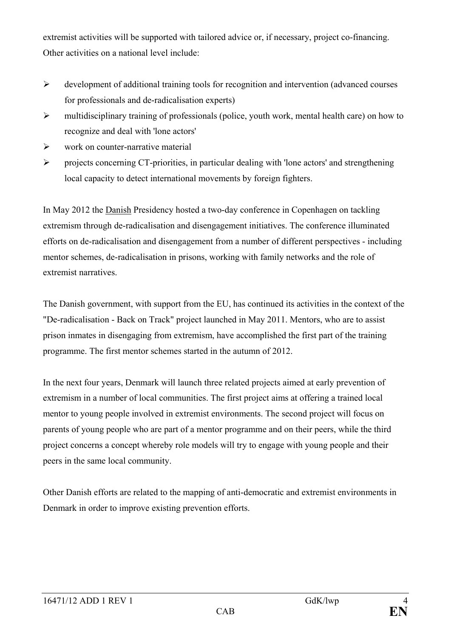extremist activities will be supported with tailored advice or, if necessary, project co-financing. Other activities on a national level include:

- development of additional training tools for recognition and intervention (advanced courses for professionals and de-radicalisation experts)
- $\triangleright$  multidisciplinary training of professionals (police, youth work, mental health care) on how to recognize and deal with 'lone actors'
- $\triangleright$  work on counter-narrative material
- $\triangleright$  projects concerning CT-priorities, in particular dealing with 'lone actors' and strengthening local capacity to detect international movements by foreign fighters.

In May 2012 the Danish Presidency hosted a two-day conference in Copenhagen on tackling extremism through de-radicalisation and disengagement initiatives. The conference illuminated efforts on de-radicalisation and disengagement from a number of different perspectives - including mentor schemes, de-radicalisation in prisons, working with family networks and the role of extremist narratives.

The Danish government, with support from the EU, has continued its activities in the context of the "De-radicalisation - Back on Track" project launched in May 2011. Mentors, who are to assist prison inmates in disengaging from extremism, have accomplished the first part of the training programme. The first mentor schemes started in the autumn of 2012.

In the next four years, Denmark will launch three related projects aimed at early prevention of extremism in a number of local communities. The first project aims at offering a trained local mentor to young people involved in extremist environments. The second project will focus on parents of young people who are part of a mentor programme and on their peers, while the third project concerns a concept whereby role models will try to engage with young people and their peers in the same local community.

Other Danish efforts are related to the mapping of anti-democratic and extremist environments in Denmark in order to improve existing prevention efforts.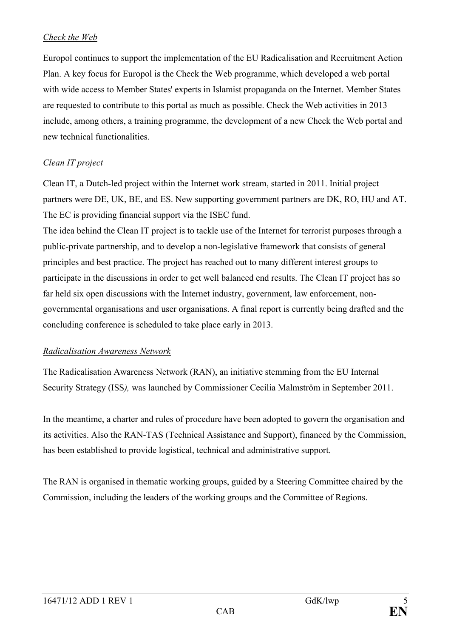### *Check the Web*

Europol continues to support the implementation of the EU Radicalisation and Recruitment Action Plan. A key focus for Europol is the Check the Web programme, which developed a web portal with wide access to Member States' experts in Islamist propaganda on the Internet. Member States are requested to contribute to this portal as much as possible. Check the Web activities in 2013 include, among others, a training programme, the development of a new Check the Web portal and new technical functionalities.

### *Clean IT project*

Clean IT, a Dutch-led project within the Internet work stream, started in 2011. Initial project partners were DE, UK, BE, and ES. New supporting government partners are DK, RO, HU and AT. The EC is providing financial support via the ISEC fund.

The idea behind the Clean IT project is to tackle use of the Internet for terrorist purposes through a public-private partnership, and to develop a non-legislative framework that consists of general principles and best practice. The project has reached out to many different interest groups to participate in the discussions in order to get well balanced end results. The Clean IT project has so far held six open discussions with the Internet industry, government, law enforcement, nongovernmental organisations and user organisations. A final report is currently being drafted and the concluding conference is scheduled to take place early in 2013.

### *Radicalisation Awareness Network*

The Radicalisation Awareness Network (RAN), an initiative stemming from the EU Internal Security Strategy (ISS*),* was launched by Commissioner Cecilia Malmström in September 2011.

In the meantime, a charter and rules of procedure have been adopted to govern the organisation and its activities. Also the RAN-TAS (Technical Assistance and Support), financed by the Commission, has been established to provide logistical, technical and administrative support.

The RAN is organised in thematic working groups, guided by a Steering Committee chaired by the Commission, including the leaders of the working groups and the Committee of Regions.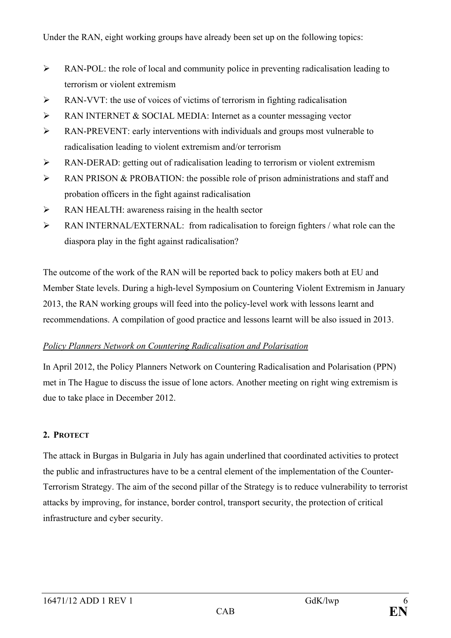- $\triangleright$  RAN-POL: the role of local and community police in preventing radicalisation leading to terrorism or violent extremism
- $\triangleright$  RAN-VVT: the use of voices of victims of terrorism in fighting radicalisation
- RAN INTERNET & SOCIAL MEDIA: Internet as a counter messaging vector
- RAN-PREVENT: early interventions with individuals and groups most vulnerable to radicalisation leading to violent extremism and/or terrorism
- RAN-DERAD: getting out of radicalisation leading to terrorism or violent extremism
- $\triangleright$  RAN PRISON & PROBATION: the possible role of prison administrations and staff and probation officers in the fight against radicalisation
- RAN HEALTH: awareness raising in the health sector
- RAN INTERNAL/EXTERNAL: from radicalisation to foreign fighters / what role can the diaspora play in the fight against radicalisation?

The outcome of the work of the RAN will be reported back to policy makers both at EU and Member State levels. During a high-level Symposium on Countering Violent Extremism in January 2013, the RAN working groups will feed into the policy-level work with lessons learnt and recommendations. A compilation of good practice and lessons learnt will be also issued in 2013.

# *Policy Planners Network on Countering Radicalisation and Polarisation*

In April 2012, the Policy Planners Network on Countering Radicalisation and Polarisation (PPN) met in The Hague to discuss the issue of lone actors. Another meeting on right wing extremism is due to take place in December 2012.

# **2. PROTECT**

The attack in Burgas in Bulgaria in July has again underlined that coordinated activities to protect the public and infrastructures have to be a central element of the implementation of the Counter-Terrorism Strategy. The aim of the second pillar of the Strategy is to reduce vulnerability to terrorist attacks by improving, for instance, border control, transport security, the protection of critical infrastructure and cyber security.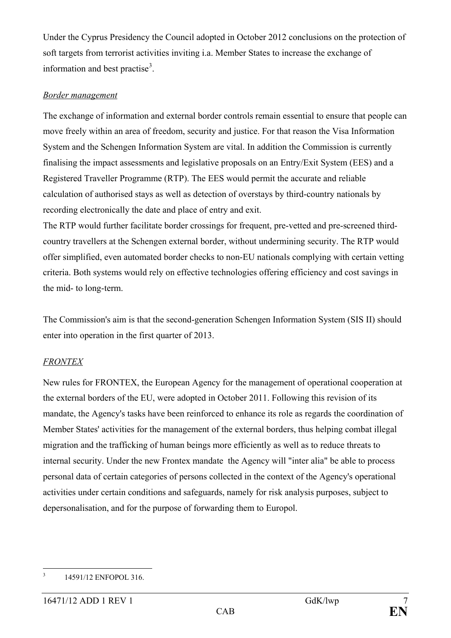Under the Cyprus Presidency the Council adopted in October 2012 conclusions on the protection of soft targets from terrorist activities inviting i.a. Member States to increase the exchange of information and best practise<sup>[3](#page-6-0)</sup>.

### *Border management*

The exchange of information and external border controls remain essential to ensure that people can move freely within an area of freedom, security and justice. For that reason the Visa Information System and the Schengen Information System are vital. In addition the Commission is currently finalising the impact assessments and legislative proposals on an Entry/Exit System (EES) and a Registered Traveller Programme (RTP). The EES would permit the accurate and reliable calculation of authorised stays as well as detection of overstays by third-country nationals by recording electronically the date and place of entry and exit.

The RTP would further facilitate border crossings for frequent, pre-vetted and pre-screened thirdcountry travellers at the Schengen external border, without undermining security. The RTP would offer simplified, even automated border checks to non-EU nationals complying with certain vetting criteria. Both systems would rely on effective technologies offering efficiency and cost savings in the mid- to long-term.

The Commission's aim is that the second-generation Schengen Information System (SIS II) should enter into operation in the first quarter of 2013.

### *FRONTEX*

New rules for FRONTEX, the European Agency for the management of operational cooperation at the external borders of the EU, were adopted in October 2011. Following this revision of its mandate, the Agency's tasks have been reinforced to enhance its role as regards the coordination of Member States' activities for the management of the external borders, thus helping combat illegal migration and the trafficking of human beings more efficiently as well as to reduce threats to internal security. Under the new Frontex mandate the Agency will "inter alia" be able to process personal data of certain categories of persons collected in the context of the Agency's operational activities under certain conditions and safeguards, namely for risk analysis purposes, subject to depersonalisation, and for the purpose of forwarding them to Europol.

<span id="page-6-0"></span><sup>&</sup>lt;sup>3</sup> 14591/12 ENFOPOL 316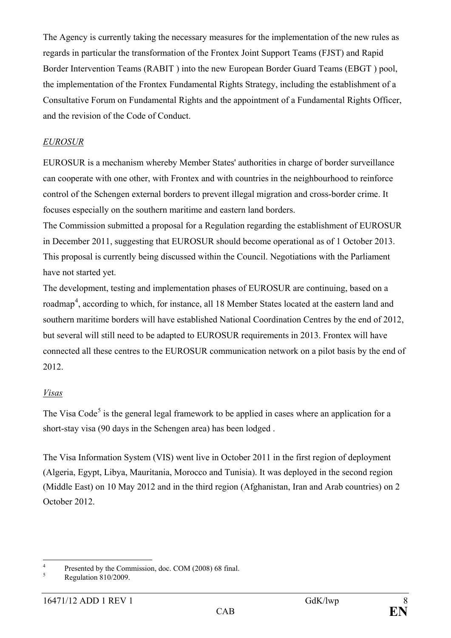The Agency is currently taking the necessary measures for the implementation of the new rules as regards in particular the transformation of the Frontex Joint Support Teams (FJST) and Rapid Border Intervention Teams (RABIT ) into the new European Border Guard Teams (EBGT ) pool, the implementation of the Frontex Fundamental Rights Strategy, including the establishment of a Consultative Forum on Fundamental Rights and the appointment of a Fundamental Rights Officer, and the revision of the Code of Conduct.

### *EUROSUR*

EUROSUR is a mechanism whereby Member States' authorities in charge of border surveillance can cooperate with one other, with Frontex and with countries in the neighbourhood to reinforce control of the Schengen external borders to prevent illegal migration and cross-border crime. It focuses especially on the southern maritime and eastern land borders.

The Commission submitted a proposal for a Regulation regarding the establishment of EUROSUR in December 2011, suggesting that EUROSUR should become operational as of 1 October 2013. This proposal is currently being discussed within the Council. Negotiations with the Parliament have not started yet.

The development, testing and implementation phases of EUROSUR are continuing, based on a roadmap<sup>[4](#page-7-0)</sup>, according to which, for instance, all 18 Member States located at the eastern land and southern maritime borders will have established National Coordination Centres by the end of 2012, but several will still need to be adapted to EUROSUR requirements in 2013. Frontex will have connected all these centres to the EUROSUR communication network on a pilot basis by the end of 2012.

### *Visas*

The Visa Code<sup>[5](#page-7-1)</sup> is the general legal framework to be applied in cases where an application for a short-stay visa (90 days in the Schengen area) has been lodged .

The Visa Information System (VIS) went live in October 2011 in the first region of deployment (Algeria, Egypt, Libya, Mauritania, Morocco and Tunisia). It was deployed in the second region (Middle East) on 10 May 2012 and in the third region (Afghanistan, Iran and Arab countries) on 2 October 2012.

<span id="page-7-0"></span>Presented by the Commission, doc. COM (2008) 68 final.<br>Regulation 810/2009.

<span id="page-7-1"></span>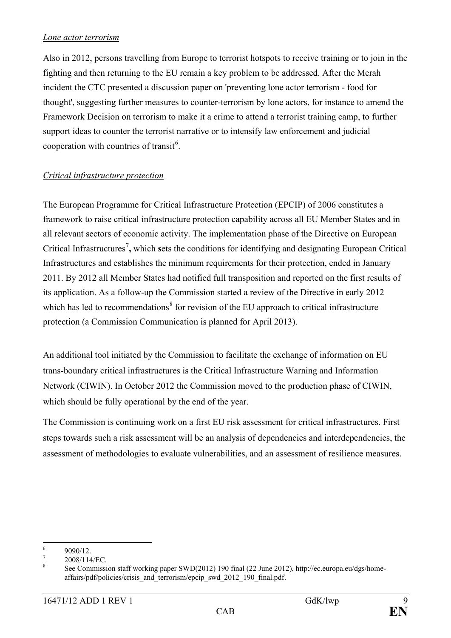### *Lone actor terrorism*

Also in 2012, persons travelling from Europe to terrorist hotspots to receive training or to join in the fighting and then returning to the EU remain a key problem to be addressed. After the Merah incident the CTC presented a discussion paper on 'preventing lone actor terrorism - food for thought', suggesting further measures to counter-terrorism by lone actors, for instance to amend the Framework Decision on terrorism to make it a crime to attend a terrorist training camp, to further support ideas to counter the terrorist narrative or to intensify law enforcement and judicial cooperation with countries of transit<sup>[6](#page-8-0)</sup>.

# *Critical infrastructure protection*

The European Programme for Critical Infrastructure Protection (EPCIP) of 2006 constitutes a framework to raise critical infrastructure protection capability across all EU Member States and in all relevant sectors of economic activity. The implementation phase of the Directive on European Critical Infrastructures<sup>[7](#page-8-1)</sup>, which sets the conditions for identifying and designating European Critical Infrastructures and establishes the minimum requirements for their protection, ended in January 2011. By 2012 all Member States had notified full transposition and reported on the first results of its application. As a follow-up the Commission started a review of the Directive in early 2012 which has led to recommendations $\delta$  for revision of the EU approach to critical infrastructure protection (a Commission Communication is planned for April 2013).

An additional tool initiated by the Commission to facilitate the exchange of information on EU trans-boundary critical infrastructures is the Critical Infrastructure Warning and Information Network (CIWIN). In October 2012 the Commission moved to the production phase of CIWIN, which should be fully operational by the end of the year.

The Commission is continuing work on a first EU risk assessment for critical infrastructures. First steps towards such a risk assessment will be an analysis of dependencies and interdependencies, the assessment of methodologies to evaluate vulnerabilities, and an assessment of resilience measures.

<span id="page-8-2"></span><span id="page-8-1"></span>

<span id="page-8-0"></span><sup>&</sup>lt;sup>6</sup> 9090/12.<br><sup>7</sup> 2008/114/EC.<br><sup>8</sup> See Commission staff working paper SWD(2012) 190 final (22 June 2012), http://ec.europa.eu/dgs/homeaffairs/pdf/policies/crisis\_and\_terrorism/epcip\_swd\_2012\_190\_final.pdf.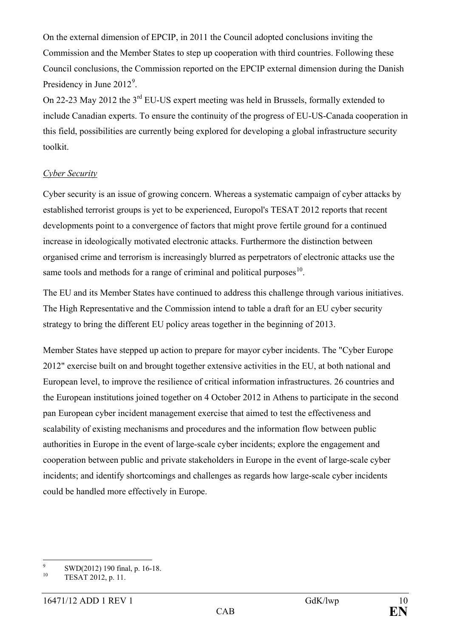On the external dimension of EPCIP, in 2011 the Council adopted conclusions inviting the Commission and the Member States to step up cooperation with third countries. Following these Council conclusions, the Commission reported on the EPCIP external dimension during the Danish Presidency in June  $2012^9$  $2012^9$ .

On 22-23 May 2012 the 3rd EU-US expert meeting was held in Brussels, formally extended to include Canadian experts. To ensure the continuity of the progress of EU-US-Canada cooperation in this field, possibilities are currently being explored for developing a global infrastructure security toolkit.

#### *Cyber Security*

Cyber security is an issue of growing concern. Whereas a systematic campaign of cyber attacks by established terrorist groups is yet to be experienced, Europol's TESAT 2012 reports that recent developments point to a convergence of factors that might prove fertile ground for a continued increase in ideologically motivated electronic attacks. Furthermore the distinction between organised crime and terrorism is increasingly blurred as perpetrators of electronic attacks use the same tools and methods for a range of criminal and political purposes $10$ .

The EU and its Member States have continued to address this challenge through various initiatives. The High Representative and the Commission intend to table a draft for an EU cyber security strategy to bring the different EU policy areas together in the beginning of 2013.

Member States have stepped up action to prepare for mayor cyber incidents. The "Cyber Europe 2012" exercise built on and brought together extensive activities in the EU, at both national and European level, to improve the resilience of critical information infrastructures. 26 countries and the European institutions joined together on 4 October 2012 in Athens to participate in the second pan European cyber incident management exercise that aimed to test the effectiveness and scalability of existing mechanisms and procedures and the information flow between public authorities in Europe in the event of large-scale cyber incidents; explore the engagement and cooperation between public and private stakeholders in Europe in the event of large-scale cyber incidents; and identify shortcomings and challenges as regards how large-scale cyber incidents could be handled more effectively in Europe.

<span id="page-9-0"></span><sup>9</sup> SWD(2012) 190 final, p. 16-18.<br>TESAT 2012, p. 11.

<span id="page-9-1"></span>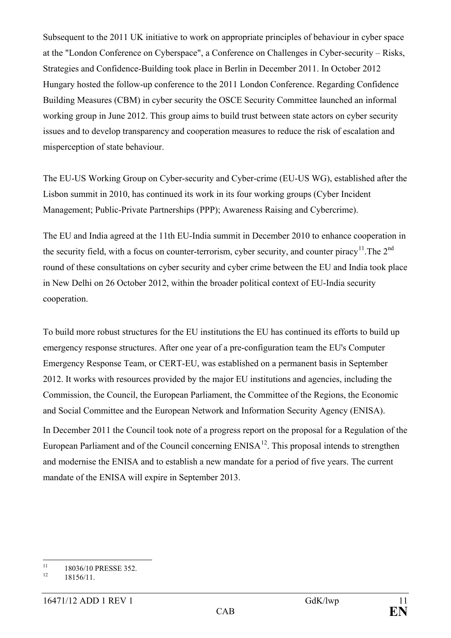Subsequent to the 2011 UK initiative to work on appropriate principles of behaviour in cyber space at the "London Conference on Cyberspace", a Conference on Challenges in Cyber-security – Risks, Strategies and Confidence-Building took place in Berlin in December 2011. In October 2012 Hungary hosted the follow-up conference to the 2011 London Conference. Regarding Confidence Building Measures (CBM) in cyber security the OSCE Security Committee launched an informal working group in June 2012. This group aims to build trust between state actors on cyber security issues and to develop transparency and cooperation measures to reduce the risk of escalation and misperception of state behaviour.

The EU-US Working Group on Cyber-security and Cyber-crime (EU-US WG), established after the Lisbon summit in 2010, has continued its work in its four working groups (Cyber Incident Management; Public-Private Partnerships (PPP); Awareness Raising and Cybercrime).

The EU and India agreed at the 11th EU-India summit in December 2010 to enhance cooperation in the security field, with a focus on counter-terrorism, cyber security, and counter piracy<sup>[11](#page-10-0)</sup>. The  $2<sup>nd</sup>$ round of these consultations on cyber security and cyber crime between the EU and India took place in New Delhi on 26 October 2012, within the broader political context of EU-India security cooperation.

To build more robust structures for the EU institutions the EU has continued its efforts to build up emergency response structures. After one year of a pre-configuration team the EU's Computer Emergency Response Team, or CERT-EU, was established on a permanent basis in September 2012. It works with resources provided by the major EU institutions and agencies, including the Commission, the Council, the European Parliament, the Committee of the Regions, the Economic and Social Committee and the European Network and Information Security Agency (ENISA).

In December 2011 the Council took note of a progress report on the proposal for a Regulation of the European Parliament and of the Council concerning  $ENISA<sup>12</sup>$ . This proposal intends to strengthen and modernise the ENISA and to establish a new mandate for a period of five years. The current mandate of the ENISA will expire in September 2013.

<span id="page-10-0"></span> $^{11}$  18036/10 PRESSE 352.<br>18156/11.

<span id="page-10-1"></span>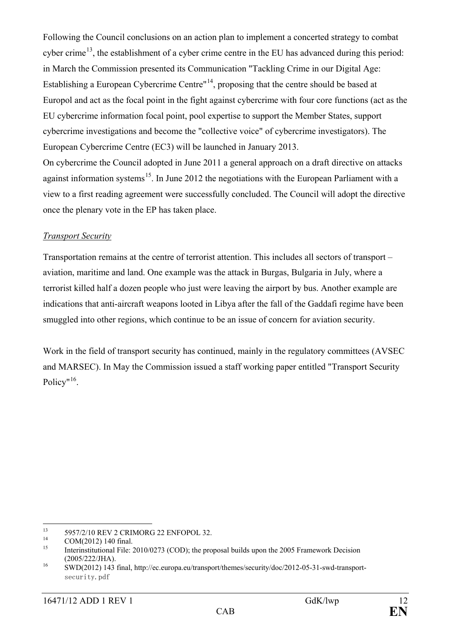Following the Council conclusions on an action plan to implement a concerted strategy to combat cyber crime<sup>[13](#page-11-0)</sup>, the establishment of a cyber crime centre in the EU has advanced during this period: in March the Commission presented its Communication "Tackling Crime in our Digital Age: Establishing a European Cybercrime Centre"[14](#page-11-1), proposing that the centre should be based at Europol and act as the focal point in the fight against cybercrime with four core functions (act as the EU cybercrime information focal point, pool expertise to support the Member States, support cybercrime investigations and become the "collective voice" of cybercrime investigators). The European Cybercrime Centre (EC3) will be launched in January 2013. On cybercrime the Council adopted in June 2011 a general approach on a draft directive on attacks against information systems<sup>15</sup>. In June 2012 the negotiations with the European Parliament with a view to a first reading agreement were successfully concluded. The Council will adopt the directive once the plenary vote in the EP has taken place.

#### *Transport Security*

Transportation remains at the centre of terrorist attention. This includes all sectors of transport – aviation, maritime and land. One example was the attack in Burgas, Bulgaria in July, where a terrorist killed half a dozen people who just were leaving the airport by bus. Another example are indications that anti-aircraft weapons looted in Libya after the fall of the Gaddafi regime have been smuggled into other regions, which continue to be an issue of concern for aviation security.

Work in the field of transport security has continued, mainly in the regulatory committees (AVSEC and MARSEC). In May the Commission issued a staff working paper entitled "Transport Security Policy"<sup>16</sup>.

<span id="page-11-0"></span>

<span id="page-11-2"></span><span id="page-11-1"></span>

<sup>&</sup>lt;sup>13</sup> 5957/2/10 REV 2 CRIMORG 22 ENFOPOL 32.<br><sup>14</sup> COM(2012) 140 final.<br><sup>15</sup> Interinstitutional File: 2010/0273 (COD); the proposal builds upon the 2005 Framework Decision (2005/222/JHA). <sup>16</sup> SWD(2012) 143 final, http://ec.europa.eu/transport/themes/security/doc/2012-05-31-swd-transport-

<span id="page-11-3"></span>security.pdf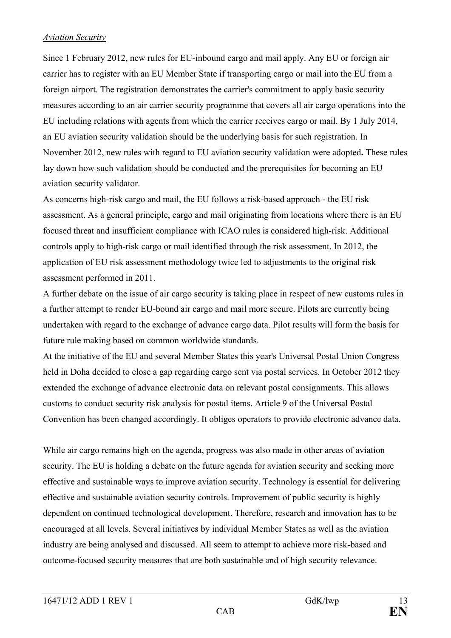#### *Aviation Security*

Since 1 February 2012, new rules for EU-inbound cargo and mail apply. Any EU or foreign air carrier has to register with an EU Member State if transporting cargo or mail into the EU from a foreign airport. The registration demonstrates the carrier's commitment to apply basic security measures according to an air carrier security programme that covers all air cargo operations into the EU including relations with agents from which the carrier receives cargo or mail. By 1 July 2014, an EU aviation security validation should be the underlying basis for such registration. In November 2012, new rules with regard to EU aviation security validation were adopted**.** These rules lay down how such validation should be conducted and the prerequisites for becoming an EU aviation security validator.

As concerns high-risk cargo and mail, the EU follows a risk-based approach - the EU risk assessment. As a general principle, cargo and mail originating from locations where there is an EU focused threat and insufficient compliance with ICAO rules is considered high-risk. Additional controls apply to high-risk cargo or mail identified through the risk assessment. In 2012, the application of EU risk assessment methodology twice led to adjustments to the original risk assessment performed in 2011.

A further debate on the issue of air cargo security is taking place in respect of new customs rules in a further attempt to render EU-bound air cargo and mail more secure. Pilots are currently being undertaken with regard to the exchange of advance cargo data. Pilot results will form the basis for future rule making based on common worldwide standards.

At the initiative of the EU and several Member States this year's Universal Postal Union Congress held in Doha decided to close a gap regarding cargo sent via postal services. In October 2012 they extended the exchange of advance electronic data on relevant postal consignments. This allows customs to conduct security risk analysis for postal items. Article 9 of the Universal Postal Convention has been changed accordingly. It obliges operators to provide electronic advance data.

While air cargo remains high on the agenda, progress was also made in other areas of aviation security. The EU is holding a debate on the future agenda for aviation security and seeking more effective and sustainable ways to improve aviation security. Technology is essential for delivering effective and sustainable aviation security controls. Improvement of public security is highly dependent on continued technological development. Therefore, research and innovation has to be encouraged at all levels. Several initiatives by individual Member States as well as the aviation industry are being analysed and discussed. All seem to attempt to achieve more risk-based and outcome-focused security measures that are both sustainable and of high security relevance.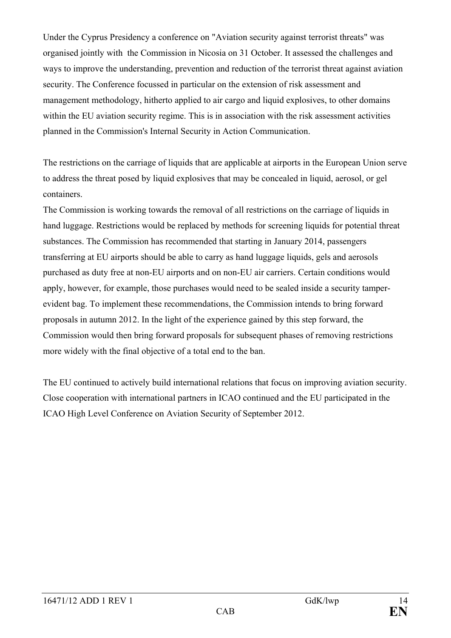Under the Cyprus Presidency a conference on "Aviation security against terrorist threats" was organised jointly with the Commission in Nicosia on 31 October. It assessed the challenges and ways to improve the understanding, prevention and reduction of the terrorist threat against aviation security. The Conference focussed in particular on the extension of risk assessment and management methodology, hitherto applied to air cargo and liquid explosives, to other domains within the EU aviation security regime. This is in association with the risk assessment activities planned in the Commission's Internal Security in Action Communication.

The restrictions on the carriage of liquids that are applicable at airports in the European Union serve to address the threat posed by liquid explosives that may be concealed in liquid, aerosol, or gel containers.

The Commission is working towards the removal of all restrictions on the carriage of liquids in hand luggage. Restrictions would be replaced by methods for screening liquids for potential threat substances. The Commission has recommended that starting in January 2014, passengers transferring at EU airports should be able to carry as hand luggage liquids, gels and aerosols purchased as duty free at non-EU airports and on non-EU air carriers. Certain conditions would apply, however, for example, those purchases would need to be sealed inside a security tamperevident bag. To implement these recommendations, the Commission intends to bring forward proposals in autumn 2012. In the light of the experience gained by this step forward, the Commission would then bring forward proposals for subsequent phases of removing restrictions more widely with the final objective of a total end to the ban.

The EU continued to actively build international relations that focus on improving aviation security. Close cooperation with international partners in ICAO continued and the EU participated in the ICAO High Level Conference on Aviation Security of September 2012.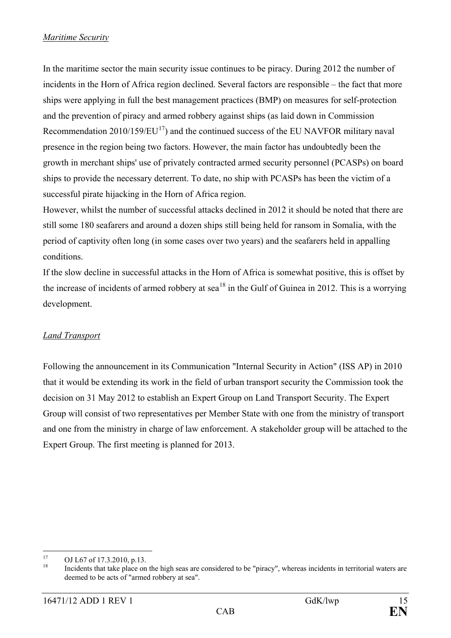In the maritime sector the main security issue continues to be piracy. During 2012 the number of incidents in the Horn of Africa region declined. Several factors are responsible – the fact that more ships were applying in full the best management practices (BMP) on measures for self-protection and the prevention of piracy and armed robbery against ships (as laid down in Commission Recommendation  $2010/159/EU^{17}$  and the continued success of the EU NAVFOR military naval presence in the region being two factors. However, the main factor has undoubtedly been the growth in merchant ships' use of privately contracted armed security personnel (PCASPs) on board ships to provide the necessary deterrent. To date, no ship with PCASPs has been the victim of a successful pirate hijacking in the Horn of Africa region.

However, whilst the number of successful attacks declined in 2012 it should be noted that there are still some 180 seafarers and around a dozen ships still being held for ransom in Somalia, with the period of captivity often long (in some cases over two years) and the seafarers held in appalling conditions.

If the slow decline in successful attacks in the Horn of Africa is somewhat positive, this is offset by the increase of incidents of armed robbery at sea<sup>[18](#page-14-1)</sup> in the Gulf of Guinea in 2012. This is a worrying development.

# *Land Transport*

Following the announcement in its Communication "Internal Security in Action" (ISS AP) in 2010 that it would be extending its work in the field of urban transport security the Commission took the decision on 31 May 2012 to establish an Expert Group on Land Transport Security. The Expert Group will consist of two representatives per Member State with one from the ministry of transport and one from the ministry in charge of law enforcement. A stakeholder group will be attached to the Expert Group. The first meeting is planned for 2013.

<span id="page-14-1"></span><span id="page-14-0"></span>

<sup>&</sup>lt;sup>17</sup> OJ L67 of 17.3.2010, p.13.<br><sup>18</sup> Incidents that take place on the high seas are considered to be "piracy", whereas incidents in territorial waters are deemed to be acts of "armed robbery at sea".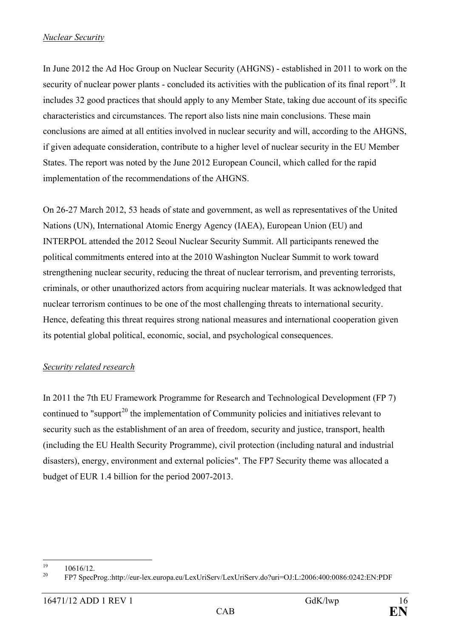#### *Nuclear Security*

In June 2012 the Ad Hoc Group on Nuclear Security (AHGNS) - established in 2011 to work on the security of nuclear power plants - concluded its activities with the publication of its final report<sup>[19](#page-15-0)</sup>. It includes 32 good practices that should apply to any Member State, taking due account of its specific characteristics and circumstances. The report also lists nine main conclusions. These main conclusions are aimed at all entities involved in nuclear security and will, according to the AHGNS, if given adequate consideration, contribute to a higher level of nuclear security in the EU Member States. The report was noted by the June 2012 European Council, which called for the rapid implementation of the recommendations of the AHGNS.

On 26-27 March 2012, 53 heads of state and government, as well as representatives of the United Nations (UN), International Atomic Energy Agency (IAEA), European Union (EU) and INTERPOL attended the 2012 Seoul Nuclear Security Summit. All participants renewed the political commitments entered into at the 2010 Washington Nuclear Summit to work toward strengthening nuclear security, reducing the threat of nuclear terrorism, and preventing terrorists, criminals, or other unauthorized actors from acquiring nuclear materials. It was acknowledged that nuclear terrorism continues to be one of the most challenging threats to international security. Hence, defeating this threat requires strong national measures and international cooperation given its potential global political, economic, social, and psychological consequences.

### *Security related research*

In 2011 the 7th EU Framework Programme for Research and Technological Development (FP 7) continued to "support<sup>[20](#page-15-1)</sup> the implementation of Community policies and initiatives relevant to security such as the establishment of an area of freedom, security and justice, transport, health (including the EU Health Security Programme), civil protection (including natural and industrial disasters), energy, environment and external policies". The FP7 Security theme was allocated a budget of EUR 1.4 billion for the period 2007-2013.

<span id="page-15-1"></span>

<span id="page-15-0"></span><sup>19</sup> 10616/12. <sup>20</sup> FP7 SpecProg.:http://eur-lex.europa.eu/LexUriServ/LexUriServ.do?uri=OJ:L:2006:400:0086:0242:EN:PDF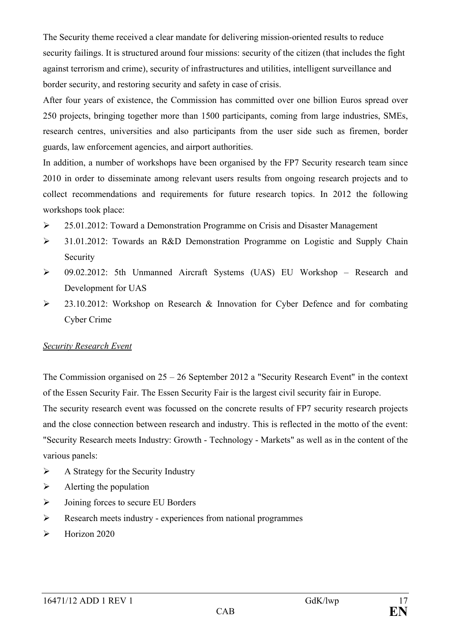The Security theme received a clear mandate for delivering mission-oriented results to reduce security failings. It is structured around four missions: security of the citizen (that includes the fight against terrorism and crime), security of infrastructures and utilities, intelligent surveillance and border security, and restoring security and safety in case of crisis.

After four years of existence, the Commission has committed over one billion Euros spread over 250 projects, bringing together more than 1500 participants, coming from large industries, SMEs, research centres, universities and also participants from the user side such as firemen, border guards, law enforcement agencies, and airport authorities.

In addition, a number of workshops have been organised by the FP7 Security research team since 2010 in order to disseminate among relevant users results from ongoing research projects and to collect recommendations and requirements for future research topics. In 2012 the following workshops took place:

- 25.01.2012: Toward a Demonstration Programme on Crisis and Disaster Management
- 31.01.2012: Towards an R&D Demonstration Programme on Logistic and Supply Chain Security
- 09.02.2012: 5th Unmanned Aircraft Systems (UAS) EU Workshop Research and Development for UAS
- $\geq$  23.10.2012: Workshop on Research & Innovation for Cyber Defence and for combating Cyber Crime

### *Security Research Event*

The Commission organised on 25 – 26 September 2012 a "Security Research Event" in the context of the Essen Security Fair. The Essen Security Fair is the largest civil security fair in Europe. The security research event was focussed on the concrete results of FP7 security research projects and the close connection between research and industry. This is reflected in the motto of the event: "Security Research meets Industry: Growth - Technology - Markets" as well as in the content of the various panels:

- $\triangleright$  A Strategy for the Security Industry
- $\triangleright$  Alerting the population
- $\triangleright$  Joining forces to secure EU Borders
- Research meets industry experiences from national programmes
- $\blacktriangleright$  Horizon 2020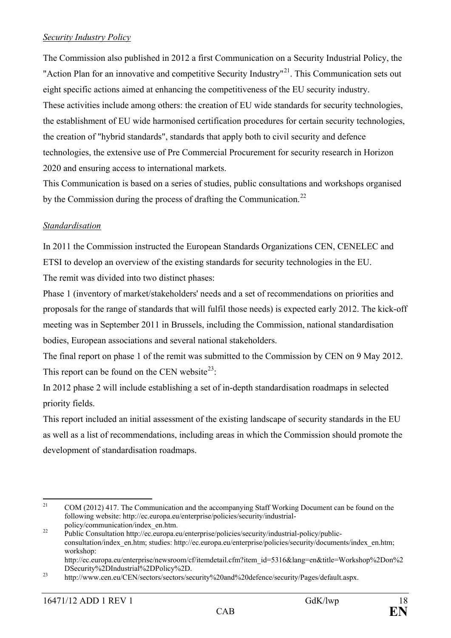### *Security Industry Policy*

The Commission also published in 2012 a first Communication on a Security Industrial Policy, the "Action Plan for an innovative and competitive Security Industry"<sup>21</sup>. This Communication sets out eight specific actions aimed at enhancing the competitiveness of the EU security industry. These activities include among others: the creation of EU wide standards for security technologies, the establishment of EU wide harmonised certification procedures for certain security technologies, the creation of "hybrid standards", standards that apply both to civil security and defence technologies, the extensive use of Pre Commercial Procurement for security research in Horizon 2020 and ensuring access to international markets.

This Communication is based on a series of studies, public consultations and workshops organised by the Commission during the process of drafting the Communication.<sup>[22](#page-17-1)</sup>

### *Standardisation*

In 2011 the Commission instructed the European Standards Organizations CEN, CENELEC and ETSI to develop an overview of the existing standards for security technologies in the EU. The remit was divided into two distinct phases:

Phase 1 (inventory of market/stakeholders' needs and a set of recommendations on priorities and proposals for the range of standards that will fulfil those needs) is expected early 2012. The kick-off meeting was in September 2011 in Brussels, including the Commission, national standardisation bodies, European associations and several national stakeholders.

The final report on phase 1 of the remit was submitted to the Commission by CEN on 9 May 2012. This report can be found on the CEN website<sup>[23](#page-17-2)</sup>:

In 2012 phase 2 will include establishing a set of in-depth standardisation roadmaps in selected priority fields.

This report included an initial assessment of the existing landscape of security standards in the EU as well as a list of recommendations, including areas in which the Commission should promote the development of standardisation roadmaps.

<span id="page-17-0"></span><sup>&</sup>lt;sup>21</sup> COM (2012) 417. The Communication and the accompanying Staff Working Document can be found on the following website: http://ec.europa.eu/enterprise/policies/security/industrial-

<span id="page-17-1"></span>policy/communication/index\_en.htm. <sup>22</sup> Public Consultation http://ec.europa.eu/enterprise/policies/security/industrial-policy/publicconsultation/index\_en.htm; studies: http://ec.europa.eu/enterprise/policies/security/documents/index\_en.htm; workshop: http://ec.europa.eu/enterprise/newsroom/cf/itemdetail.cfm?item\_id=5316&lang=en&title=Workshop%2Don%2<br>DSecurity%2DIndustrial%2DPolicy%2D.

<span id="page-17-2"></span><sup>&</sup>lt;sup>23</sup> http://www.cen.eu/CEN/sectors/sectors/security%20and%20defence/security/Pages/default.aspx.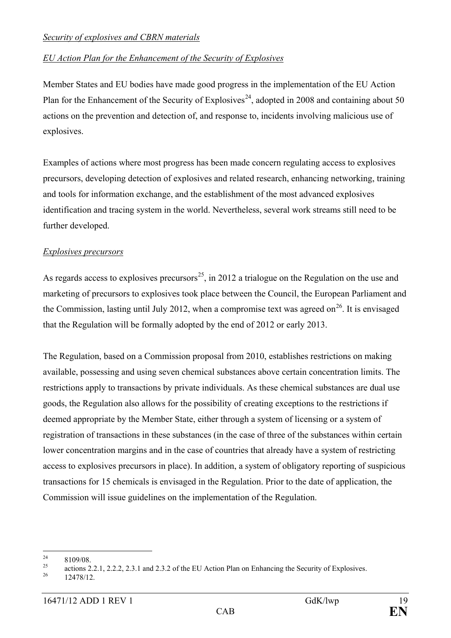### *Security of explosives and CBRN materials*

### *EU Action Plan for the Enhancement of the Security of Explosives*

Member States and EU bodies have made good progress in the implementation of the EU Action Plan for the Enhancement of the Security of Explosives<sup>24</sup>, adopted in 2008 and containing about 50 actions on the prevention and detection of, and response to, incidents involving malicious use of explosives.

Examples of actions where most progress has been made concern regulating access to explosives precursors, developing detection of explosives and related research, enhancing networking, training and tools for information exchange, and the establishment of the most advanced explosives identification and tracing system in the world. Nevertheless, several work streams still need to be further developed.

### *Explosives precursors*

As regards access to explosives precursors<sup>25</sup>, in 2012 a trialogue on the Regulation on the use and marketing of precursors to explosives took place between the Council, the European Parliament and the Commission, lasting until July 2012, when a compromise text was agreed on<sup>26</sup>. It is envisaged that the Regulation will be formally adopted by the end of 2012 or early 2013.

The Regulation, based on a Commission proposal from 2010, establishes restrictions on making available, possessing and using seven chemical substances above certain concentration limits. The restrictions apply to transactions by private individuals. As these chemical substances are dual use goods, the Regulation also allows for the possibility of creating exceptions to the restrictions if deemed appropriate by the Member State, either through a system of licensing or a system of registration of transactions in these substances (in the case of three of the substances within certain lower concentration margins and in the case of countries that already have a system of restricting access to explosives precursors in place). In addition, a system of obligatory reporting of suspicious transactions for 15 chemicals is envisaged in the Regulation. Prior to the date of application, the Commission will issue guidelines on the implementation of the Regulation.

<span id="page-18-0"></span>

<sup>&</sup>lt;sup>24</sup> 8109/08. actions 2.2.1, 2.2.2, 2.3.1 and 2.3.2 of the EU Action Plan on Enhancing the Security of Explosives.  $\frac{12478}{12478/12}$ 

<span id="page-18-2"></span><span id="page-18-1"></span>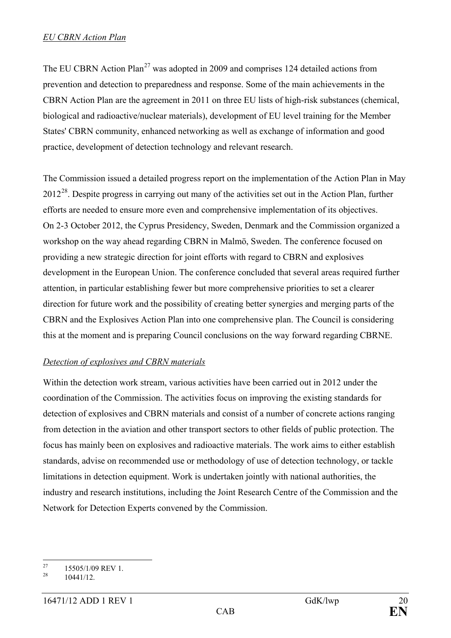The EU CBRN Action Plan<sup>[27](#page-19-0)</sup> was adopted in 2009 and comprises 124 detailed actions from prevention and detection to preparedness and response. Some of the main achievements in the CBRN Action Plan are the agreement in 2011 on three EU lists of high-risk substances (chemical, biological and radioactive/nuclear materials), development of EU level training for the Member States' CBRN community, enhanced networking as well as exchange of information and good practice, development of detection technology and relevant research.

The Commission issued a detailed progress report on the implementation of the Action Plan in May 2012<sup>[28](#page-19-1)</sup>. Despite progress in carrying out many of the activities set out in the Action Plan, further efforts are needed to ensure more even and comprehensive implementation of its objectives. On 2-3 October 2012, the Cyprus Presidency, Sweden, Denmark and the Commission organized a workshop on the way ahead regarding CBRN in Malmö, Sweden. The conference focused on providing a new strategic direction for joint efforts with regard to CBRN and explosives development in the European Union. The conference concluded that several areas required further attention, in particular establishing fewer but more comprehensive priorities to set a clearer direction for future work and the possibility of creating better synergies and merging parts of the CBRN and the Explosives Action Plan into one comprehensive plan. The Council is considering this at the moment and is preparing Council conclusions on the way forward regarding CBRNE.

# *Detection of explosives and CBRN materials*

Within the detection work stream, various activities have been carried out in 2012 under the coordination of the Commission. The activities focus on improving the existing standards for detection of explosives and CBRN materials and consist of a number of concrete actions ranging from detection in the aviation and other transport sectors to other fields of public protection. The focus has mainly been on explosives and radioactive materials. The work aims to either establish standards, advise on recommended use or methodology of use of detection technology, or tackle limitations in detection equipment. Work is undertaken jointly with national authorities, the industry and research institutions, including the Joint Research Centre of the Commission and the Network for Detection Experts convened by the Commission.

<span id="page-19-0"></span><sup>&</sup>lt;sup>27</sup> 15505/1/09 REV 1.<br>10441/12

<span id="page-19-1"></span>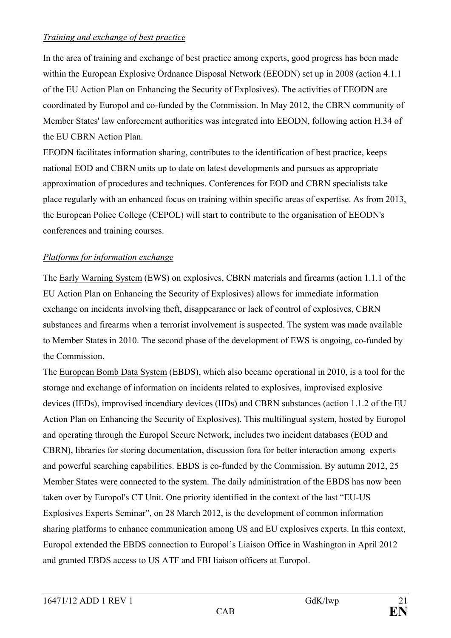### *Training and exchange of best practice*

In the area of training and exchange of best practice among experts, good progress has been made within the European Explosive Ordnance Disposal Network (EEODN) set up in 2008 (action 4.1.1 of the EU Action Plan on Enhancing the Security of Explosives). The activities of EEODN are coordinated by Europol and co-funded by the Commission. In May 2012, the CBRN community of Member States' law enforcement authorities was integrated into EEODN, following action H.34 of the EU CBRN Action Plan.

EEODN facilitates information sharing, contributes to the identification of best practice, keeps national EOD and CBRN units up to date on latest developments and pursues as appropriate approximation of procedures and techniques. Conferences for EOD and CBRN specialists take place regularly with an enhanced focus on training within specific areas of expertise. As from 2013, the European Police College (CEPOL) will start to contribute to the organisation of EEODN's conferences and training courses.

### *Platforms for information exchange*

The Early Warning System (EWS) on explosives, CBRN materials and firearms (action 1.1.1 of the EU Action Plan on Enhancing the Security of Explosives) allows for immediate information exchange on incidents involving theft, disappearance or lack of control of explosives, CBRN substances and firearms when a terrorist involvement is suspected. The system was made available to Member States in 2010. The second phase of the development of EWS is ongoing, co-funded by the Commission.

The European Bomb Data System (EBDS), which also became operational in 2010, is a tool for the storage and exchange of information on incidents related to explosives, improvised explosive devices (IEDs), improvised incendiary devices (IIDs) and CBRN substances (action 1.1.2 of the EU Action Plan on Enhancing the Security of Explosives). This multilingual system, hosted by Europol and operating through the Europol Secure Network, includes two incident databases (EOD and CBRN), libraries for storing documentation, discussion fora for better interaction among experts and powerful searching capabilities. EBDS is co-funded by the Commission. By autumn 2012, 25 Member States were connected to the system. The daily administration of the EBDS has now been taken over by Europol's CT Unit. One priority identified in the context of the last "EU-US Explosives Experts Seminar", on 28 March 2012, is the development of common information sharing platforms to enhance communication among US and EU explosives experts. In this context, Europol extended the EBDS connection to Europol's Liaison Office in Washington in April 2012 and granted EBDS access to US ATF and FBI liaison officers at Europol.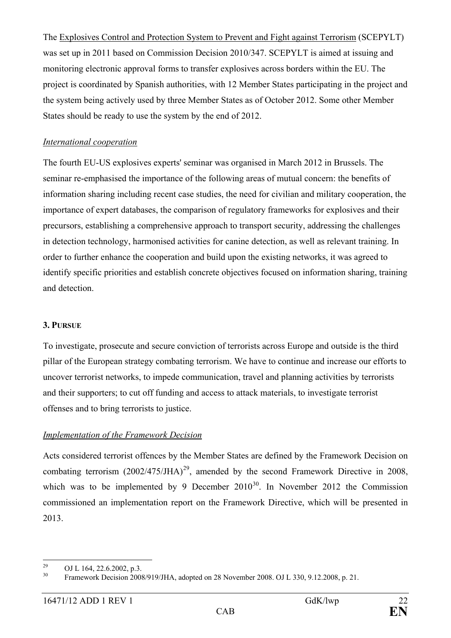The Explosives Control and Protection System to Prevent and Fight against Terrorism (SCEPYLT) was set up in 2011 based on Commission Decision 2010/347. SCEPYLT is aimed at issuing and monitoring electronic approval forms to transfer explosives across borders within the EU. The project is coordinated by Spanish authorities, with 12 Member States participating in the project and the system being actively used by three Member States as of October 2012. Some other Member States should be ready to use the system by the end of 2012.

### *International cooperation*

The fourth EU-US explosives experts' seminar was organised in March 2012 in Brussels. The seminar re-emphasised the importance of the following areas of mutual concern: the benefits of information sharing including recent case studies, the need for civilian and military cooperation, the importance of expert databases, the comparison of regulatory frameworks for explosives and their precursors, establishing a comprehensive approach to transport security, addressing the challenges in detection technology, harmonised activities for canine detection, as well as relevant training. In order to further enhance the cooperation and build upon the existing networks, it was agreed to identify specific priorities and establish concrete objectives focused on information sharing, training and detection.

### **3. PURSUE**

To investigate, prosecute and secure conviction of terrorists across Europe and outside is the third pillar of the European strategy combating terrorism. We have to continue and increase our efforts to uncover terrorist networks, to impede communication, travel and planning activities by terrorists and their supporters; to cut off funding and access to attack materials, to investigate terrorist offenses and to bring terrorists to justice.

### *Implementation of the Framework Decision*

Acts considered terrorist offences by the Member States are defined by the Framework Decision on combating terrorism  $(2002/475/JHA)^{29}$  $(2002/475/JHA)^{29}$  $(2002/475/JHA)^{29}$ , amended by the second Framework Directive in 2008, which was to be implemented by 9 December  $2010^{30}$ . In November 2012 the Commission commissioned an implementation report on the Framework Directive, which will be presented in 2013.

<span id="page-21-1"></span><span id="page-21-0"></span>

<sup>&</sup>lt;sup>29</sup> OJ L 164, 22.6.2002, p.3.<br><sup>30</sup> Framework Decision 2008/919/JHA, adopted on 28 November 2008. OJ L 330, 9.12.2008, p. 21.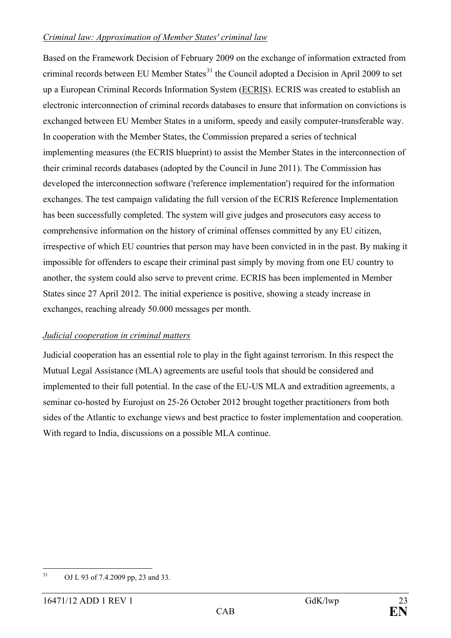### *Criminal law: Approximation of Member States' criminal law*

Based on the Framework Decision of February 2009 on the exchange of information extracted from criminal records between EU Member States<sup>[31](#page-22-0)</sup> the Council adopted a Decision in April 2009 to set up a European Criminal Records Information System (ECRIS). ECRIS was created to establish an electronic interconnection of criminal records databases to ensure that information on convictions is exchanged between EU Member States in a uniform, speedy and easily computer-transferable way. In cooperation with the Member States, the Commission prepared a series of technical implementing measures (the ECRIS blueprint) to assist the Member States in the interconnection of their criminal records databases (adopted by the Council in June 2011). The Commission has developed the interconnection software ('reference implementation') required for the information exchanges. The test campaign validating the full version of the ECRIS Reference Implementation has been successfully completed. The system will give judges and prosecutors easy access to comprehensive information on the history of criminal offenses committed by any EU citizen, irrespective of which EU countries that person may have been convicted in in the past. By making it impossible for offenders to escape their criminal past simply by moving from one EU country to another, the system could also serve to prevent crime. ECRIS has been implemented in Member States since 27 April 2012. The initial experience is positive, showing a steady increase in exchanges, reaching already 50.000 messages per month.

### *Judicial cooperation in criminal matters*

Judicial cooperation has an essential role to play in the fight against terrorism. In this respect the Mutual Legal Assistance (MLA) agreements are useful tools that should be considered and implemented to their full potential. In the case of the EU-US MLA and extradition agreements, a seminar co-hosted by Eurojust on 25-26 October 2012 brought together practitioners from both sides of the Atlantic to exchange views and best practice to foster implementation and cooperation. With regard to India, discussions on a possible MLA continue.

<span id="page-22-0"></span> <sup>31</sup> OJ L 93 of 7.4.2009 pp, 23 and 33.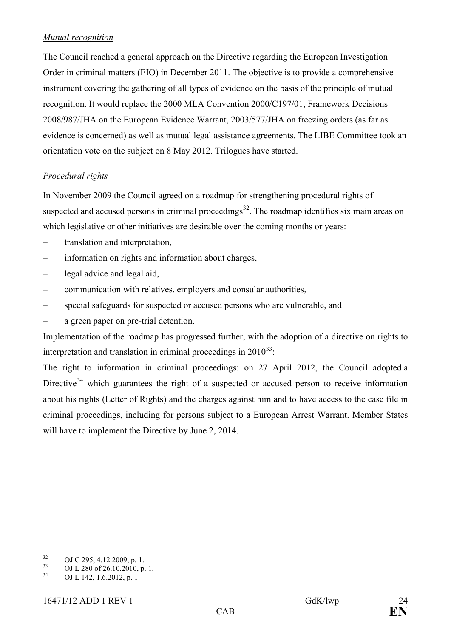### *Mutual recognition*

The Council reached a general approach on the Directive regarding the European Investigation Order in criminal matters (EIO) in December 2011. The objective is to provide a comprehensive instrument covering the gathering of all types of evidence on the basis of the principle of mutual recognition. It would replace the 2000 MLA Convention 2000/C197/01, Framework Decisions 2008/987/JHA on the European Evidence Warrant, 2003/577/JHA on freezing orders (as far as evidence is concerned) as well as mutual legal assistance agreements. The LIBE Committee took an orientation vote on the subject on 8 May 2012. Trilogues have started.

### *Procedural rights*

In November 2009 the Council agreed on a roadmap for strengthening procedural rights of suspected and accused persons in criminal proceedings<sup>[32](#page-23-0)</sup>. The roadmap identifies six main areas on which legislative or other initiatives are desirable over the coming months or years:

- translation and interpretation,
- information on rights and information about charges,
- legal advice and legal aid,
- communication with relatives, employers and consular authorities,
- special safeguards for suspected or accused persons who are vulnerable, and
- a green paper on pre-trial detention.

Implementation of the roadmap has progressed further, with the adoption of a directive on rights to interpretation and translation in criminal proceedings in  $2010^{33}$ .

The right to information in criminal proceedings: on 27 April 2012, the Council adopted a Directive<sup>[34](#page-23-2)</sup> which guarantees the right of a suspected or accused person to receive information about his rights (Letter of Rights) and the charges against him and to have access to the case file in criminal proceedings, including for persons subject to a European Arrest Warrant. Member States will have to implement the Directive by June 2, 2014.

<span id="page-23-0"></span><sup>&</sup>lt;sup>32</sup> OJ C 295, 4.12.2009, p. 1.<br><sup>33</sup> OJ L 280 of 26.10.2010, p. 1.<br>OJ L 142, 1.6.2012, p. 1.

<span id="page-23-2"></span><span id="page-23-1"></span>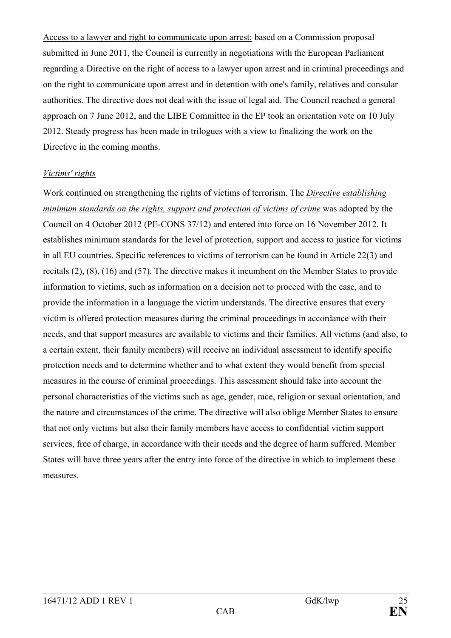Access to a lawyer and right to communicate upon arrest: based on a Commission proposal submitted in June 2011, the Council is currently in negotiations with the European Parliament regarding a Directive on the right of access to a lawyer upon arrest and in criminal proceedings and on the right to communicate upon arrest and in detention with one's family, relatives and consular authorities. The directive does not deal with the issue of legal aid. The Council reached a general approach on 7 June 2012, and the LIBE Committee in the EP took an orientation vote on 10 July 2012. Steady progress has been made in trilogues with a view to finalizing the work on the Directive in the coming months.

#### *Victims' rights*

Work continued on strengthening the rights of victims of terrorism. The *Directive establishing minimum standards on the rights, support and protection of victims of crime* was adopted by the Council on 4 October 2012 (PE-CONS 37/12) and entered into force on 16 November 2012. It establishes minimum standards for the level of protection, support and access to justice for victims in all EU countries. Specific references to victims of terrorism can be found in Article 22(3) and recitals (2), (8), (16) and (57). The directive makes it incumbent on the Member States to provide information to victims, such as information on a decision not to proceed with the case, and to provide the information in a language the victim understands. The directive ensures that every victim is offered protection measures during the criminal proceedings in accordance with their needs, and that support measures are available to victims and their families. All victims (and also, to a certain extent, their family members) will receive an individual assessment to identify specific protection needs and to determine whether and to what extent they would benefit from special measures in the course of criminal proceedings. This assessment should take into account the personal characteristics of the victims such as age, gender, race, religion or sexual orientation, and the nature and circumstances of the crime. The directive will also oblige Member States to ensure that not only victims but also their family members have access to confidential victim support services, free of charge, in accordance with their needs and the degree of harm suffered. Member States will have three years after the entry into force of the directive in which to implement these measures.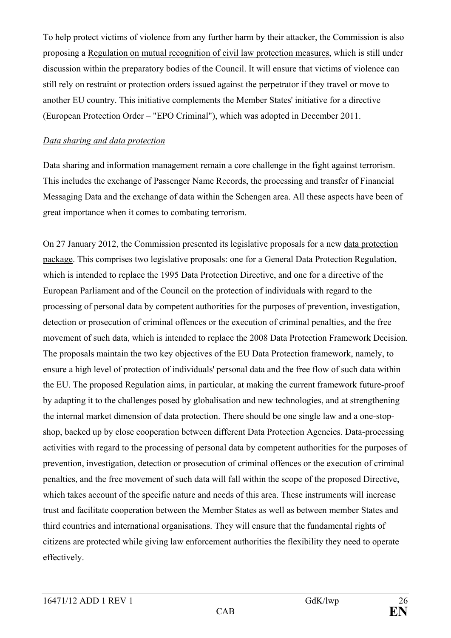To help protect victims of violence from any further harm by their attacker, the Commission is also proposing a Regulation on mutual recognition of civil law protection measures, which is still under discussion within the preparatory bodies of the Council. It will ensure that victims of violence can still rely on restraint or protection orders issued against the perpetrator if they travel or move to another EU country. This initiative complements the Member States' initiative for a directive (European Protection Order – "EPO Criminal"), which was adopted in December 2011.

### *Data sharing and data protection*

Data sharing and information management remain a core challenge in the fight against terrorism. This includes the exchange of Passenger Name Records, the processing and transfer of Financial Messaging Data and the exchange of data within the Schengen area. All these aspects have been of great importance when it comes to combating terrorism.

On 27 January 2012, the Commission presented its legislative proposals for a new data protection package. This comprises two legislative proposals: one for a General Data Protection Regulation, which is intended to replace the 1995 Data Protection Directive, and one for a directive of the European Parliament and of the Council on the protection of individuals with regard to the processing of personal data by competent authorities for the purposes of prevention, investigation, detection or prosecution of criminal offences or the execution of criminal penalties, and the free movement of such data, which is intended to replace the 2008 Data Protection Framework Decision. The proposals maintain the two key objectives of the EU Data Protection framework, namely, to ensure a high level of protection of individuals' personal data and the free flow of such data within the EU. The proposed Regulation aims, in particular, at making the current framework future-proof by adapting it to the challenges posed by globalisation and new technologies, and at strengthening the internal market dimension of data protection. There should be one single law and a one-stopshop, backed up by close cooperation between different Data Protection Agencies. Data-processing activities with regard to the processing of personal data by competent authorities for the purposes of prevention, investigation, detection or prosecution of criminal offences or the execution of criminal penalties, and the free movement of such data will fall within the scope of the proposed Directive, which takes account of the specific nature and needs of this area. These instruments will increase trust and facilitate cooperation between the Member States as well as between member States and third countries and international organisations. They will ensure that the fundamental rights of citizens are protected while giving law enforcement authorities the flexibility they need to operate effectively.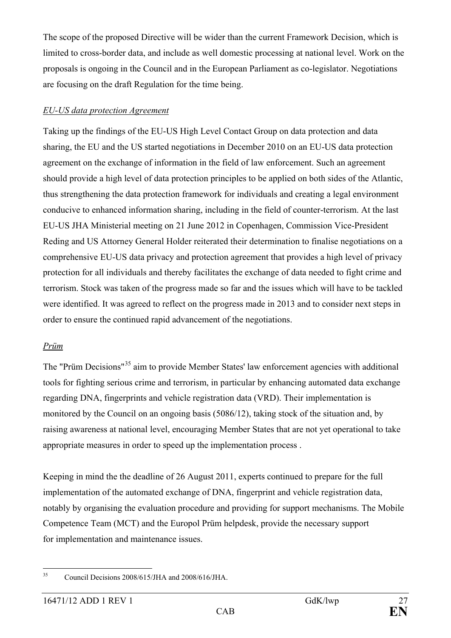The scope of the proposed Directive will be wider than the current Framework Decision, which is limited to cross-border data, and include as well domestic processing at national level. Work on the proposals is ongoing in the Council and in the European Parliament as co-legislator. Negotiations are focusing on the draft Regulation for the time being.

### *EU-US data protection Agreement*

Taking up the findings of the EU-US High Level Contact Group on data protection and data sharing, the EU and the US started negotiations in December 2010 on an EU-US data protection agreement on the exchange of information in the field of law enforcement. Such an agreement should provide a high level of data protection principles to be applied on both sides of the Atlantic, thus strengthening the data protection framework for individuals and creating a legal environment conducive to enhanced information sharing, including in the field of counter-terrorism. At the last EU-US JHA Ministerial meeting on 21 June 2012 in Copenhagen, Commission Vice-President Reding and US Attorney General Holder reiterated their determination to finalise negotiations on a comprehensive EU-US data privacy and protection agreement that provides a high level of privacy protection for all individuals and thereby facilitates the exchange of data needed to fight crime and terrorism. Stock was taken of the progress made so far and the issues which will have to be tackled were identified. It was agreed to reflect on the progress made in 2013 and to consider next steps in order to ensure the continued rapid advancement of the negotiations.

### *Prüm*

The "Prüm Decisions"<sup>[35](#page-26-0)</sup> aim to provide Member States' law enforcement agencies with additional tools for fighting serious crime and terrorism, in particular by enhancing automated data exchange regarding DNA, fingerprints and vehicle registration data (VRD). Their implementation is monitored by the Council on an ongoing basis (5086/12), taking stock of the situation and, by raising awareness at national level, encouraging Member States that are not yet operational to take appropriate measures in order to speed up the implementation process .

Keeping in mind the the deadline of 26 August 2011, experts continued to prepare for the full implementation of the automated exchange of DNA, fingerprint and vehicle registration data, notably by organising the evaluation procedure and providing for support mechanisms. The Mobile Competence Team (MCT) and the Europol Prüm helpdesk, provide the necessary support for implementation and maintenance issues.

<span id="page-26-0"></span><sup>&</sup>lt;sup>35</sup> Council Decisions 2008/615/JHA and 2008/616/JHA.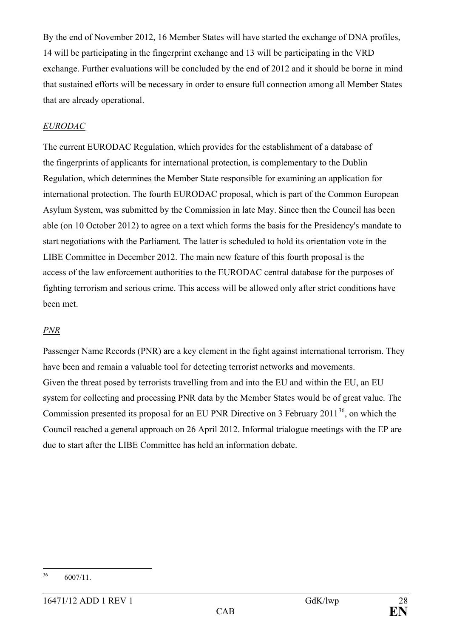By the end of November 2012, 16 Member States will have started the exchange of DNA profiles, 14 will be participating in the fingerprint exchange and 13 will be participating in the VRD exchange. Further evaluations will be concluded by the end of 2012 and it should be borne in mind that sustained efforts will be necessary in order to ensure full connection among all Member States that are already operational.

### *EURODAC*

The current EURODAC Regulation, which provides for the establishment of a database of the fingerprints of applicants for international protection, is complementary to the Dublin Regulation, which determines the Member State responsible for examining an application for international protection. The fourth EURODAC proposal, which is part of the Common European Asylum System, was submitted by the Commission in late May. Since then the Council has been able (on 10 October 2012) to agree on a text which forms the basis for the Presidency's mandate to start negotiations with the Parliament. The latter is scheduled to hold its orientation vote in the LIBE Committee in December 2012. The main new feature of this fourth proposal is the access of the law enforcement authorities to the EURODAC central database for the purposes of fighting terrorism and serious crime. This access will be allowed only after strict conditions have been met.

# *PNR*

Passenger Name Records (PNR) are a key element in the fight against international terrorism. They have been and remain a valuable tool for detecting terrorist networks and movements. Given the threat posed by terrorists travelling from and into the EU and within the EU, an EU system for collecting and processing PNR data by the Member States would be of great value. The Commission presented its proposal for an EU PNR Directive on 3 February  $2011^{36}$  $2011^{36}$  $2011^{36}$ , on which the Council reached a general approach on 26 April 2012. Informal trialogue meetings with the EP are due to start after the LIBE Committee has held an information debate.

<span id="page-27-0"></span> $36$  6007/11.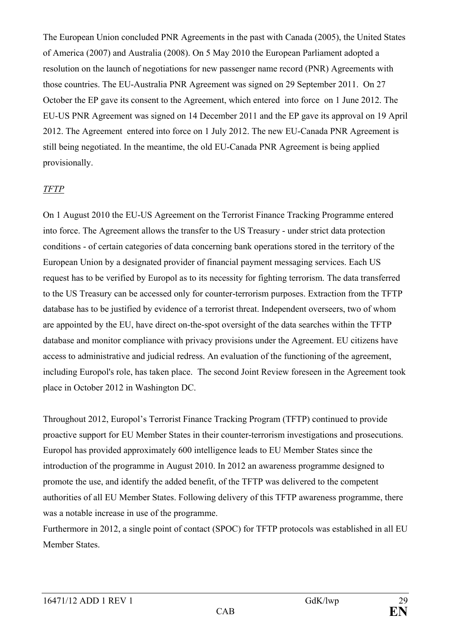The European Union concluded PNR Agreements in the past with Canada (2005), the United States of America (2007) and Australia (2008). On 5 May 2010 the European Parliament adopted a resolution on the launch of negotiations for new passenger name record (PNR) Agreements with those countries. The EU-Australia PNR Agreement was signed on 29 September 2011. On 27 October the EP gave its consent to the Agreement, which entered into force on 1 June 2012. The EU-US PNR Agreement was signed on 14 December 2011 and the EP gave its approval on 19 April 2012. The Agreement entered into force on 1 July 2012. The new EU-Canada PNR Agreement is still being negotiated. In the meantime, the old EU-Canada PNR Agreement is being applied provisionally.

### *TFTP*

On 1 August 2010 the EU-US Agreement on the Terrorist Finance Tracking Programme entered into force. The Agreement allows the transfer to the US Treasury - under strict data protection conditions - of certain categories of data concerning bank operations stored in the territory of the European Union by a designated provider of financial payment messaging services. Each US request has to be verified by Europol as to its necessity for fighting terrorism. The data transferred to the US Treasury can be accessed only for counter-terrorism purposes. Extraction from the TFTP database has to be justified by evidence of a terrorist threat. Independent overseers, two of whom are appointed by the EU, have direct on-the-spot oversight of the data searches within the TFTP database and monitor compliance with privacy provisions under the Agreement. EU citizens have access to administrative and judicial redress. An evaluation of the functioning of the agreement, including Europol's role, has taken place. The second Joint Review foreseen in the Agreement took place in October 2012 in Washington DC.

Throughout 2012, Europol's Terrorist Finance Tracking Program (TFTP) continued to provide proactive support for EU Member States in their counter-terrorism investigations and prosecutions. Europol has provided approximately 600 intelligence leads to EU Member States since the introduction of the programme in August 2010. In 2012 an awareness programme designed to promote the use, and identify the added benefit, of the TFTP was delivered to the competent authorities of all EU Member States. Following delivery of this TFTP awareness programme, there was a notable increase in use of the programme.

Furthermore in 2012, a single point of contact (SPOC) for TFTP protocols was established in all EU Member States.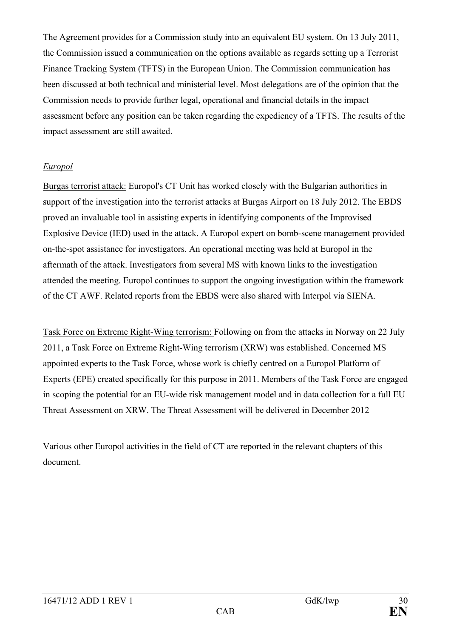The Agreement provides for a Commission study into an equivalent EU system. On 13 July 2011, the Commission issued a communication on the options available as regards setting up a Terrorist Finance Tracking System (TFTS) in the European Union. The Commission communication has been discussed at both technical and ministerial level. Most delegations are of the opinion that the Commission needs to provide further legal, operational and financial details in the impact assessment before any position can be taken regarding the expediency of a TFTS. The results of the impact assessment are still awaited.

### *Europol*

Burgas terrorist attack: Europol's CT Unit has worked closely with the Bulgarian authorities in support of the investigation into the terrorist attacks at Burgas Airport on 18 July 2012. The EBDS proved an invaluable tool in assisting experts in identifying components of the Improvised Explosive Device (IED) used in the attack. A Europol expert on bomb-scene management provided on-the-spot assistance for investigators. An operational meeting was held at Europol in the aftermath of the attack. Investigators from several MS with known links to the investigation attended the meeting. Europol continues to support the ongoing investigation within the framework of the CT AWF. Related reports from the EBDS were also shared with Interpol via SIENA.

Task Force on Extreme Right-Wing terrorism: Following on from the attacks in Norway on 22 July 2011, a Task Force on Extreme Right-Wing terrorism (XRW) was established. Concerned MS appointed experts to the Task Force, whose work is chiefly centred on a Europol Platform of Experts (EPE) created specifically for this purpose in 2011. Members of the Task Force are engaged in scoping the potential for an EU-wide risk management model and in data collection for a full EU Threat Assessment on XRW. The Threat Assessment will be delivered in December 2012

Various other Europol activities in the field of CT are reported in the relevant chapters of this document.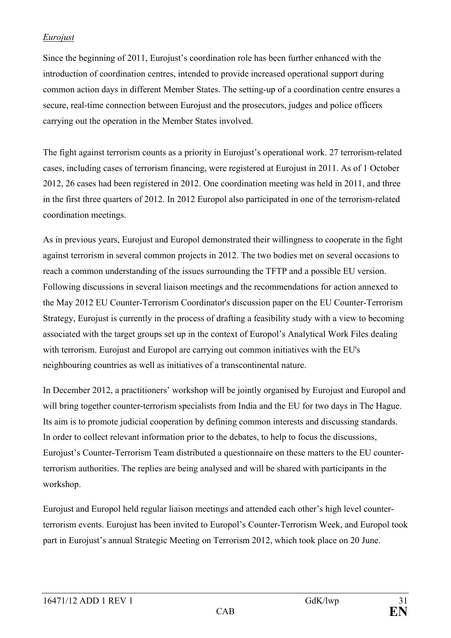# *Eurojust*

Since the beginning of 2011, Eurojust's coordination role has been further enhanced with the introduction of coordination centres, intended to provide increased operational support during common action days in different Member States. The setting-up of a coordination centre ensures a secure, real-time connection between Eurojust and the prosecutors, judges and police officers carrying out the operation in the Member States involved.

The fight against terrorism counts as a priority in Eurojust's operational work. 27 terrorism-related cases, including cases of terrorism financing, were registered at Eurojust in 2011. As of 1 October 2012, 26 cases had been registered in 2012. One coordination meeting was held in 2011, and three in the first three quarters of 2012. In 2012 Europol also participated in one of the terrorism-related coordination meetings.

As in previous years, Eurojust and Europol demonstrated their willingness to cooperate in the fight against terrorism in several common projects in 2012. The two bodies met on several occasions to reach a common understanding of the issues surrounding the TFTP and a possible EU version. Following discussions in several liaison meetings and the recommendations for action annexed to the May 2012 EU Counter-Terrorism Coordinator's discussion paper on the EU Counter-Terrorism Strategy, Eurojust is currently in the process of drafting a feasibility study with a view to becoming associated with the target groups set up in the context of Europol's Analytical Work Files dealing with terrorism. Eurojust and Europol are carrying out common initiatives with the EU's neighbouring countries as well as initiatives of a transcontinental nature.

In December 2012, a practitioners' workshop will be jointly organised by Eurojust and Europol and will bring together counter-terrorism specialists from India and the EU for two days in The Hague. Its aim is to promote judicial cooperation by defining common interests and discussing standards. In order to collect relevant information prior to the debates, to help to focus the discussions, Eurojust's Counter-Terrorism Team distributed a questionnaire on these matters to the EU counterterrorism authorities. The replies are being analysed and will be shared with participants in the workshop.

Eurojust and Europol held regular liaison meetings and attended each other's high level counterterrorism events. Eurojust has been invited to Europol's Counter-Terrorism Week, and Europol took part in Eurojust's annual Strategic Meeting on Terrorism 2012, which took place on 20 June.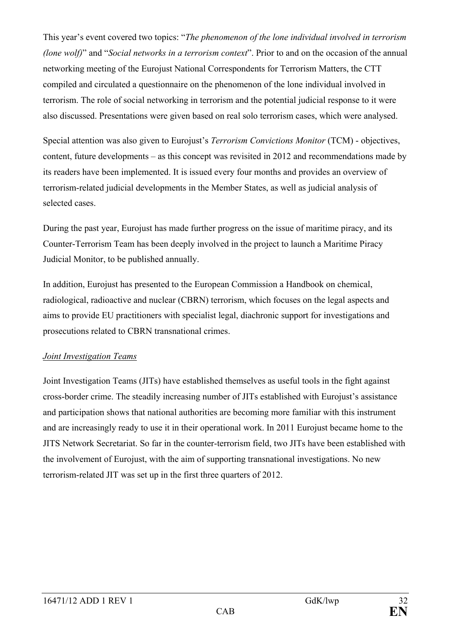This year's event covered two topics: "*The phenomenon of the lone individual involved in terrorism (lone wolf)*" and "*Social networks in a terrorism context*". Prior to and on the occasion of the annual networking meeting of the Eurojust National Correspondents for Terrorism Matters, the CTT compiled and circulated a questionnaire on the phenomenon of the lone individual involved in terrorism. The role of social networking in terrorism and the potential judicial response to it were also discussed. Presentations were given based on real solo terrorism cases, which were analysed.

Special attention was also given to Eurojust's *Terrorism Convictions Monitor* (TCM) - objectives, content, future developments – as this concept was revisited in 2012 and recommendations made by its readers have been implemented. It is issued every four months and provides an overview of terrorism-related judicial developments in the Member States, as well as judicial analysis of selected cases.

During the past year, Eurojust has made further progress on the issue of maritime piracy, and its Counter-Terrorism Team has been deeply involved in the project to launch a Maritime Piracy Judicial Monitor, to be published annually.

In addition, Eurojust has presented to the European Commission a Handbook on chemical, radiological, radioactive and nuclear (CBRN) terrorism, which focuses on the legal aspects and aims to provide EU practitioners with specialist legal, diachronic support for investigations and prosecutions related to CBRN transnational crimes.

### *Joint Investigation Teams*

Joint Investigation Teams (JITs) have established themselves as useful tools in the fight against cross-border crime. The steadily increasing number of JITs established with Eurojust's assistance and participation shows that national authorities are becoming more familiar with this instrument and are increasingly ready to use it in their operational work. In 2011 Eurojust became home to the JITS Network Secretariat. So far in the counter-terrorism field, two JITs have been established with the involvement of Eurojust, with the aim of supporting transnational investigations. No new terrorism-related JIT was set up in the first three quarters of 2012.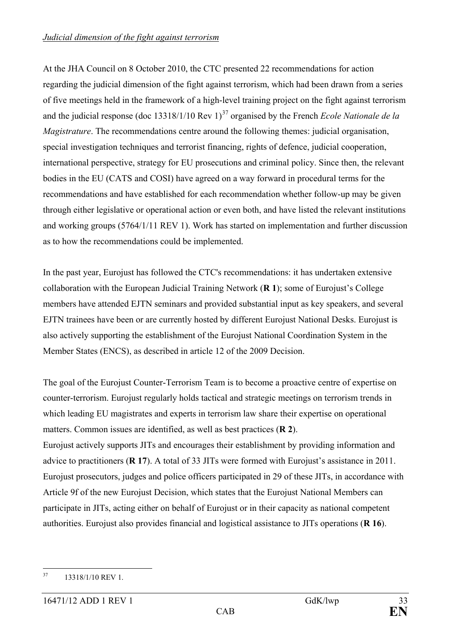At the JHA Council on 8 October 2010, the CTC presented 22 recommendations for action regarding the judicial dimension of the fight against terrorism, which had been drawn from a series of five meetings held in the framework of a high-level training project on the fight against terrorism and the judicial response (doc  $13318/1/10$  Rev  $1<sup>37</sup>$  $1<sup>37</sup>$  $1<sup>37</sup>$  organised by the French *Ecole Nationale de la Magistrature*. The recommendations centre around the following themes: judicial organisation, special investigation techniques and terrorist financing, rights of defence, judicial cooperation, international perspective, strategy for EU prosecutions and criminal policy. Since then, the relevant bodies in the EU (CATS and COSI) have agreed on a way forward in procedural terms for the recommendations and have established for each recommendation whether follow-up may be given through either legislative or operational action or even both, and have listed the relevant institutions and working groups (5764/1/11 REV 1). Work has started on implementation and further discussion as to how the recommendations could be implemented.

In the past year, Eurojust has followed the CTC's recommendations: it has undertaken extensive collaboration with the European Judicial Training Network (**R 1**); some of Eurojust's College members have attended EJTN seminars and provided substantial input as key speakers, and several EJTN trainees have been or are currently hosted by different Eurojust National Desks. Eurojust is also actively supporting the establishment of the Eurojust National Coordination System in the Member States (ENCS), as described in article 12 of the 2009 Decision.

The goal of the Eurojust Counter-Terrorism Team is to become a proactive centre of expertise on counter-terrorism. Eurojust regularly holds tactical and strategic meetings on terrorism trends in which leading EU magistrates and experts in terrorism law share their expertise on operational matters. Common issues are identified, as well as best practices (**R 2**). Eurojust actively supports JITs and encourages their establishment by providing information and advice to practitioners (**R 17**). A total of 33 JITs were formed with Eurojust's assistance in 2011. Eurojust prosecutors, judges and police officers participated in 29 of these JITs, in accordance with Article 9f of the new Eurojust Decision, which states that the Eurojust National Members can

participate in JITs, acting either on behalf of Eurojust or in their capacity as national competent authorities. Eurojust also provides financial and logistical assistance to JITs operations (**R 16**).

<span id="page-32-0"></span> $37$  13318/1/10 REV 1.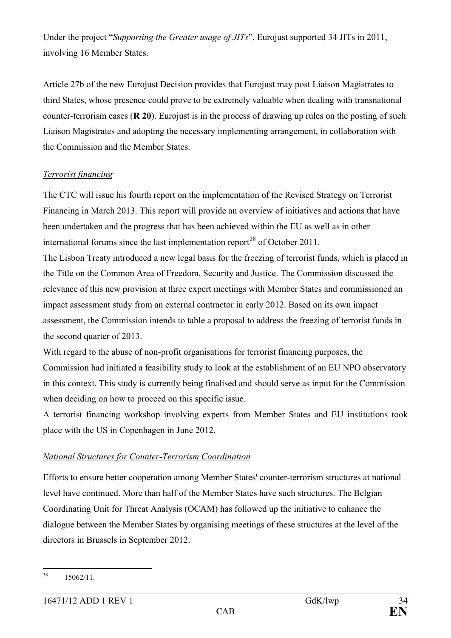Under the project "*Supporting the Greater usage of JITs*", Eurojust supported 34 JITs in 2011, involving 16 Member States.

Article 27b of the new Eurojust Decision provides that Eurojust may post Liaison Magistrates to third States, whose presence could prove to be extremely valuable when dealing with transnational counter-terrorism cases (**R 20**). Eurojust is in the process of drawing up rules on the posting of such Liaison Magistrates and adopting the necessary implementing arrangement, in collaboration with the Commission and the Member States.

### *Terrorist financing*

The CTC will issue his fourth report on the implementation of the Revised Strategy on Terrorist Financing in March 2013. This report will provide an overview of initiatives and actions that have been undertaken and the progress that has been achieved within the EU as well as in other international forums since the last implementation report<sup>[38](#page-33-0)</sup> of October 2011.

The Lisbon Treaty introduced a new legal basis for the freezing of terrorist funds, which is placed in the Title on the Common Area of Freedom, Security and Justice. The Commission discussed the relevance of this new provision at three expert meetings with Member States and commissioned an impact assessment study from an external contractor in early 2012. Based on its own impact assessment, the Commission intends to table a proposal to address the freezing of terrorist funds in the second quarter of 2013.

With regard to the abuse of non-profit organisations for terrorist financing purposes, the Commission had initiated a feasibility study to look at the establishment of an EU NPO observatory in this context. This study is currently being finalised and should serve as input for the Commission when deciding on how to proceed on this specific issue.

A terrorist financing workshop involving experts from Member States and EU institutions took place with the US in Copenhagen in June 2012.

# *National Structures for Counter-Terrorism Coordination*

Efforts to ensure better cooperation among Member States' counter-terrorism structures at national level have continued. More than half of the Member States have such structures. The Belgian Coordinating Unit for Threat Analysis (OCAM) has followed up the initiative to enhance the dialogue between the Member States by organising meetings of these structures at the level of the directors in Brussels in September 2012.

<span id="page-33-0"></span> $38 \t15062/11.$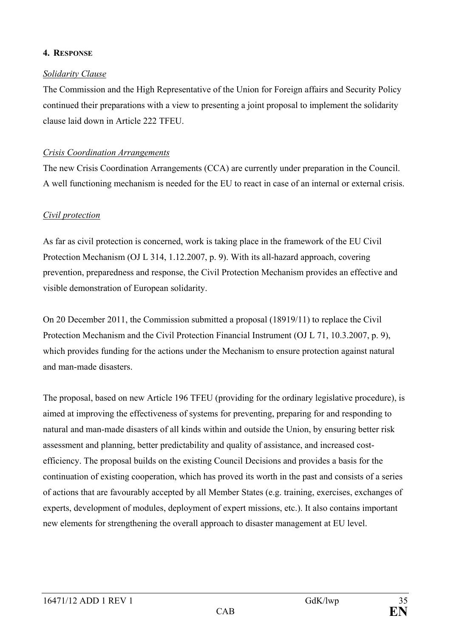### **4. RESPONSE**

### *Solidarity Clause*

The Commission and the High Representative of the Union for Foreign affairs and Security Policy continued their preparations with a view to presenting a joint proposal to implement the solidarity clause laid down in Article 222 TFEU.

### *Crisis Coordination Arrangements*

The new Crisis Coordination Arrangements (CCA) are currently under preparation in the Council. A well functioning mechanism is needed for the EU to react in case of an internal or external crisis.

### *Civil protection*

As far as civil protection is concerned, work is taking place in the framework of the EU Civil Protection Mechanism (OJ L 314, 1.12.2007, p. 9). With its all-hazard approach, covering prevention, preparedness and response, the Civil Protection Mechanism provides an effective and visible demonstration of European solidarity.

On 20 December 2011, the Commission submitted a proposal (18919/11) to replace the Civil Protection Mechanism and the Civil Protection Financial Instrument (OJ L 71, 10.3.2007, p. 9), which provides funding for the actions under the Mechanism to ensure protection against natural and man-made disasters.

The proposal, based on new Article 196 TFEU (providing for the ordinary legislative procedure), is aimed at improving the effectiveness of systems for preventing, preparing for and responding to natural and man-made disasters of all kinds within and outside the Union, by ensuring better risk assessment and planning, better predictability and quality of assistance, and increased costefficiency. The proposal builds on the existing Council Decisions and provides a basis for the continuation of existing cooperation, which has proved its worth in the past and consists of a series of actions that are favourably accepted by all Member States (e.g. training, exercises, exchanges of experts, development of modules, deployment of expert missions, etc.). It also contains important new elements for strengthening the overall approach to disaster management at EU level.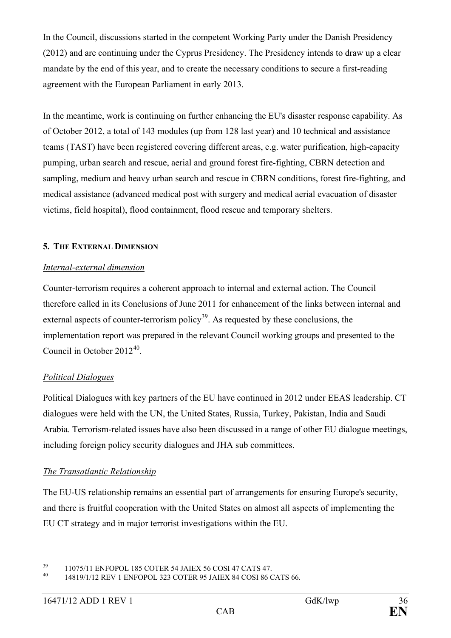In the Council, discussions started in the competent Working Party under the Danish Presidency (2012) and are continuing under the Cyprus Presidency. The Presidency intends to draw up a clear mandate by the end of this year, and to create the necessary conditions to secure a first-reading agreement with the European Parliament in early 2013.

In the meantime, work is continuing on further enhancing the EU's disaster response capability. As of October 2012, a total of 143 modules (up from 128 last year) and 10 technical and assistance teams (TAST) have been registered covering different areas, e.g. water purification, high-capacity pumping, urban search and rescue, aerial and ground forest fire-fighting, CBRN detection and sampling, medium and heavy urban search and rescue in CBRN conditions, forest fire-fighting, and medical assistance (advanced medical post with surgery and medical aerial evacuation of disaster victims, field hospital), flood containment, flood rescue and temporary shelters.

### **5. THE EXTERNAL DIMENSION**

### *Internal-external dimension*

Counter-terrorism requires a coherent approach to internal and external action. The Council therefore called in its Conclusions of June 2011 for enhancement of the links between internal and external aspects of counter-terrorism policy<sup>39</sup>. As requested by these conclusions, the implementation report was prepared in the relevant Council working groups and presented to the Council in October 2012[40](#page-35-1).

# *Political Dialogues*

Political Dialogues with key partners of the EU have continued in 2012 under EEAS leadership. CT dialogues were held with the UN, the United States, Russia, Turkey, Pakistan, India and Saudi Arabia. Terrorism-related issues have also been discussed in a range of other EU dialogue meetings, including foreign policy security dialogues and JHA sub committees.

# *The Transatlantic Relationship*

The EU-US relationship remains an essential part of arrangements for ensuring Europe's security, and there is fruitful cooperation with the United States on almost all aspects of implementing the EU CT strategy and in major terrorist investigations within the EU.

<span id="page-35-0"></span><sup>&</sup>lt;sup>39</sup> 11075/11 ENFOPOL 185 COTER 54 JAIEX 56 COSI 47 CATS 47.<br><sup>40</sup> 14819/1/12 REV 1 ENFOPOL 323 COTER 95 JAIEX 84 COSI 86 CATS 66.

<span id="page-35-1"></span>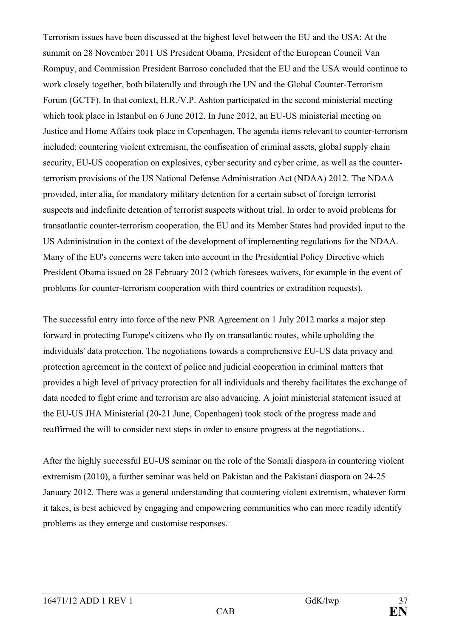Terrorism issues have been discussed at the highest level between the EU and the USA: At the summit on 28 November 2011 US President Obama, President of the European Council Van Rompuy, and Commission President Barroso concluded that the EU and the USA would continue to work closely together, both bilaterally and through the UN and the Global Counter-Terrorism Forum (GCTF). In that context, H.R./V.P. Ashton participated in the second ministerial meeting which took place in Istanbul on 6 June 2012. In June 2012, an EU-US ministerial meeting on Justice and Home Affairs took place in Copenhagen. The agenda items relevant to counter-terrorism included: countering violent extremism, the confiscation of criminal assets, global supply chain security, EU-US cooperation on explosives, cyber security and cyber crime, as well as the counterterrorism provisions of the US National Defense Administration Act (NDAA) 2012. The NDAA provided, inter alia, for mandatory military detention for a certain subset of foreign terrorist suspects and indefinite detention of terrorist suspects without trial. In order to avoid problems for transatlantic counter-terrorism cooperation, the EU and its Member States had provided input to the US Administration in the context of the development of implementing regulations for the NDAA. Many of the EU's concerns were taken into account in the Presidential Policy Directive which President Obama issued on 28 February 2012 (which foresees waivers, for example in the event of problems for counter-terrorism cooperation with third countries or extradition requests).

The successful entry into force of the new PNR Agreement on 1 July 2012 marks a major step forward in protecting Europe's citizens who fly on transatlantic routes, while upholding the individuals' data protection. The negotiations towards a comprehensive EU-US data privacy and protection agreement in the context of police and judicial cooperation in criminal matters that provides a high level of privacy protection for all individuals and thereby facilitates the exchange of data needed to fight crime and terrorism are also advancing. A joint ministerial statement issued at the EU-US JHA Ministerial (20-21 June, Copenhagen) took stock of the progress made and reaffirmed the will to consider next steps in order to ensure progress at the negotiations..

After the highly successful EU-US seminar on the role of the Somali diaspora in countering violent extremism (2010), a further seminar was held on Pakistan and the Pakistani diaspora on 24-25 January 2012. There was a general understanding that countering violent extremism, whatever form it takes, is best achieved by engaging and empowering communities who can more readily identify problems as they emerge and customise responses.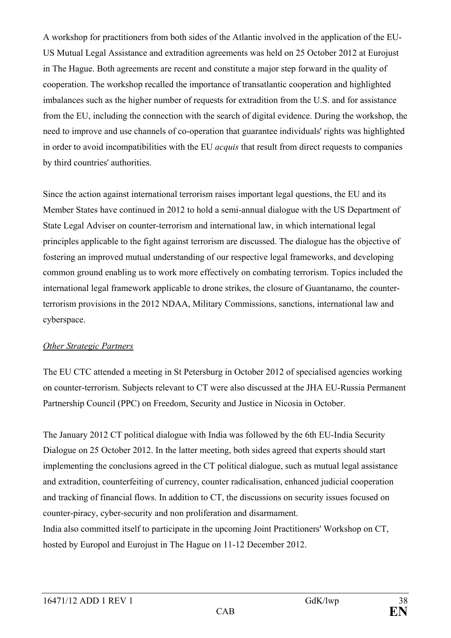A workshop for practitioners from both sides of the Atlantic involved in the application of the EU-US Mutual Legal Assistance and extradition agreements was held on 25 October 2012 at Eurojust in The Hague. Both agreements are recent and constitute a major step forward in the quality of cooperation. The workshop recalled the importance of transatlantic cooperation and highlighted imbalances such as the higher number of requests for extradition from the U.S. and for assistance from the EU, including the connection with the search of digital evidence. During the workshop, the need to improve and use channels of co-operation that guarantee individuals' rights was highlighted in order to avoid incompatibilities with the EU *acquis* that result from direct requests to companies by third countries' authorities.

Since the action against international terrorism raises important legal questions, the EU and its Member States have continued in 2012 to hold a semi-annual dialogue with the US Department of State Legal Adviser on counter-terrorism and international law, in which international legal principles applicable to the fight against terrorism are discussed. The dialogue has the objective of fostering an improved mutual understanding of our respective legal frameworks, and developing common ground enabling us to work more effectively on combating terrorism. Topics included the international legal framework applicable to drone strikes, the closure of Guantanamo, the counterterrorism provisions in the 2012 NDAA, Military Commissions, sanctions, international law and cyberspace.

### *Other Strategic Partners*

The EU CTC attended a meeting in St Petersburg in October 2012 of specialised agencies working on counter-terrorism. Subjects relevant to CT were also discussed at the JHA EU-Russia Permanent Partnership Council (PPC) on Freedom, Security and Justice in Nicosia in October.

The January 2012 CT political dialogue with India was followed by the 6th EU-India Security Dialogue on 25 October 2012. In the latter meeting, both sides agreed that experts should start implementing the conclusions agreed in the CT political dialogue, such as mutual legal assistance and extradition, counterfeiting of currency, counter radicalisation, enhanced judicial cooperation and tracking of financial flows. In addition to CT, the discussions on security issues focused on counter-piracy, cyber-security and non proliferation and disarmament. India also committed itself to participate in the upcoming Joint Practitioners' Workshop on CT, hosted by Europol and Eurojust in The Hague on 11-12 December 2012.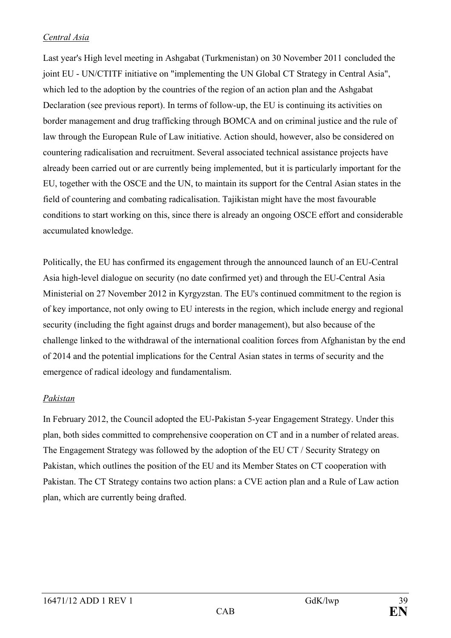### *Central Asia*

Last year's High level meeting in Ashgabat (Turkmenistan) on 30 November 2011 concluded the joint EU - UN/CTITF initiative on "implementing the UN Global CT Strategy in Central Asia", which led to the adoption by the countries of the region of an action plan and the Ashgabat Declaration (see previous report). In terms of follow-up, the EU is continuing its activities on border management and drug trafficking through BOMCA and on criminal justice and the rule of law through the European Rule of Law initiative. Action should, however, also be considered on countering radicalisation and recruitment. Several associated technical assistance projects have already been carried out or are currently being implemented, but it is particularly important for the EU, together with the OSCE and the UN, to maintain its support for the Central Asian states in the field of countering and combating radicalisation. Tajikistan might have the most favourable conditions to start working on this, since there is already an ongoing OSCE effort and considerable accumulated knowledge.

Politically, the EU has confirmed its engagement through the announced launch of an EU-Central Asia high-level dialogue on security (no date confirmed yet) and through the EU-Central Asia Ministerial on 27 November 2012 in Kyrgyzstan. The EU's continued commitment to the region is of key importance, not only owing to EU interests in the region, which include energy and regional security (including the fight against drugs and border management), but also because of the challenge linked to the withdrawal of the international coalition forces from Afghanistan by the end of 2014 and the potential implications for the Central Asian states in terms of security and the emergence of radical ideology and fundamentalism.

### *Pakistan*

In February 2012, the Council adopted the EU-Pakistan 5-year Engagement Strategy. Under this plan, both sides committed to comprehensive cooperation on CT and in a number of related areas. The Engagement Strategy was followed by the adoption of the EU CT / Security Strategy on Pakistan, which outlines the position of the EU and its Member States on CT cooperation with Pakistan. The CT Strategy contains two action plans: a CVE action plan and a Rule of Law action plan, which are currently being drafted.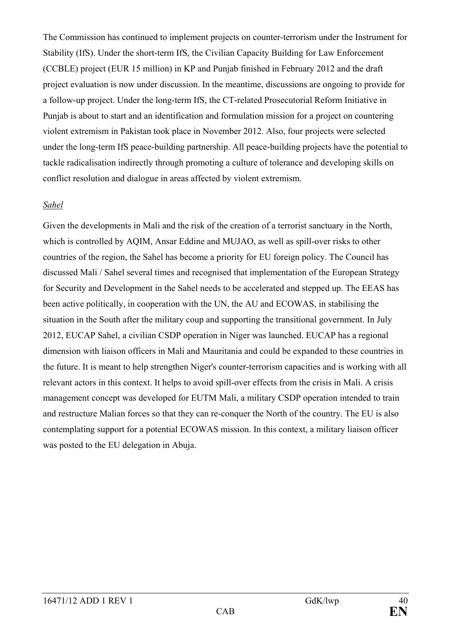The Commission has continued to implement projects on counter-terrorism under the Instrument for Stability (IfS). Under the short-term IfS, the Civilian Capacity Building for Law Enforcement (CCBLE) project (EUR 15 million) in KP and Punjab finished in February 2012 and the draft project evaluation is now under discussion. In the meantime, discussions are ongoing to provide for a follow-up project. Under the long-term IfS, the CT-related Prosecutorial Reform Initiative in Punjab is about to start and an identification and formulation mission for a project on countering violent extremism in Pakistan took place in November 2012. Also, four projects were selected under the long-term IfS peace-building partnership. All peace-building projects have the potential to tackle radicalisation indirectly through promoting a culture of tolerance and developing skills on conflict resolution and dialogue in areas affected by violent extremism.

#### *Sahel*

Given the developments in Mali and the risk of the creation of a terrorist sanctuary in the North, which is controlled by AQIM, Ansar Eddine and MUJAO, as well as spill-over risks to other countries of the region, the Sahel has become a priority for EU foreign policy. The Council has discussed Mali / Sahel several times and recognised that implementation of the European Strategy for Security and Development in the Sahel needs to be accelerated and stepped up. The EEAS has been active politically, in cooperation with the UN, the AU and ECOWAS, in stabilising the situation in the South after the military coup and supporting the transitional government. In July 2012, EUCAP Sahel, a civilian CSDP operation in Niger was launched. EUCAP has a regional dimension with liaison officers in Mali and Mauritania and could be expanded to these countries in the future. It is meant to help strengthen Niger's counter-terrorism capacities and is working with all relevant actors in this context. It helps to avoid spill-over effects from the crisis in Mali. A crisis management concept was developed for EUTM Mali, a military CSDP operation intended to train and restructure Malian forces so that they can re-conquer the North of the country. The EU is also contemplating support for a potential ECOWAS mission. In this context, a military liaison officer was posted to the EU delegation in Abuja.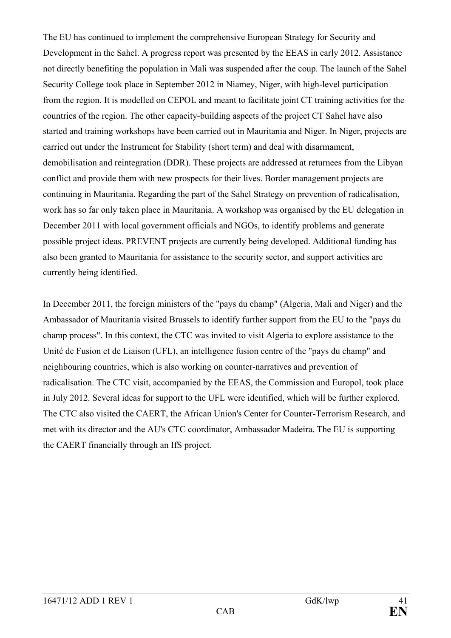The EU has continued to implement the comprehensive European Strategy for Security and Development in the Sahel. A progress report was presented by the EEAS in early 2012. Assistance not directly benefiting the population in Mali was suspended after the coup. The launch of the Sahel Security College took place in September 2012 in Niamey, Niger, with high-level participation from the region. It is modelled on CEPOL and meant to facilitate joint CT training activities for the countries of the region. The other capacity-building aspects of the project CT Sahel have also started and training workshops have been carried out in Mauritania and Niger. In Niger, projects are carried out under the Instrument for Stability (short term) and deal with disarmament, demobilisation and reintegration (DDR). These projects are addressed at returnees from the Libyan conflict and provide them with new prospects for their lives. Border management projects are continuing in Mauritania. Regarding the part of the Sahel Strategy on prevention of radicalisation, work has so far only taken place in Mauritania. A workshop was organised by the EU delegation in December 2011 with local government officials and NGOs, to identify problems and generate possible project ideas. PREVENT projects are currently being developed. Additional funding has also been granted to Mauritania for assistance to the security sector, and support activities are currently being identified.

In December 2011, the foreign ministers of the "pays du champ" (Algeria, Mali and Niger) and the Ambassador of Mauritania visited Brussels to identify further support from the EU to the "pays du champ process". In this context, the CTC was invited to visit Algeria to explore assistance to the Unité de Fusion et de Liaison (UFL), an intelligence fusion centre of the "pays du champ" and neighbouring countries, which is also working on counter-narratives and prevention of radicalisation. The CTC visit, accompanied by the EEAS, the Commission and Europol, took place in July 2012. Several ideas for support to the UFL were identified, which will be further explored. The CTC also visited the CAERT, the African Union's Center for Counter-Terrorism Research, and met with its director and the AU's CTC coordinator, Ambassador Madeira. The EU is supporting the CAERT financially through an IfS project.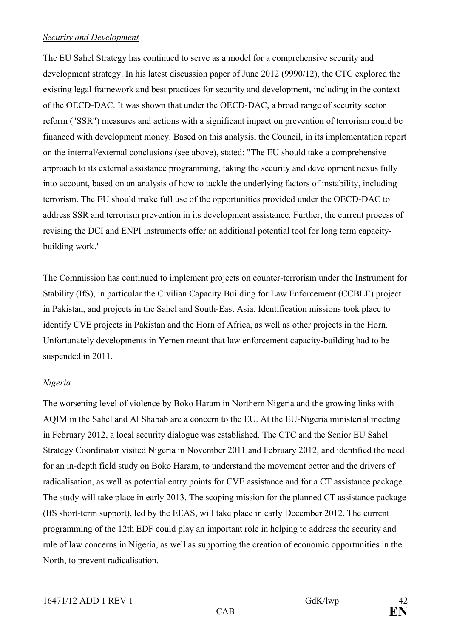#### *Security and Development*

The EU Sahel Strategy has continued to serve as a model for a comprehensive security and development strategy. In his latest discussion paper of June 2012 (9990/12), the CTC explored the existing legal framework and best practices for security and development, including in the context of the OECD-DAC. It was shown that under the OECD-DAC, a broad range of security sector reform ("SSR") measures and actions with a significant impact on prevention of terrorism could be financed with development money. Based on this analysis, the Council, in its implementation report on the internal/external conclusions (see above), stated: "The EU should take a comprehensive approach to its external assistance programming, taking the security and development nexus fully into account, based on an analysis of how to tackle the underlying factors of instability, including terrorism. The EU should make full use of the opportunities provided under the OECD-DAC to address SSR and terrorism prevention in its development assistance. Further, the current process of revising the DCI and ENPI instruments offer an additional potential tool for long term capacitybuilding work."

The Commission has continued to implement projects on counter-terrorism under the Instrument for Stability (IfS), in particular the Civilian Capacity Building for Law Enforcement (CCBLE) project in Pakistan, and projects in the Sahel and South-East Asia. Identification missions took place to identify CVE projects in Pakistan and the Horn of Africa, as well as other projects in the Horn. Unfortunately developments in Yemen meant that law enforcement capacity-building had to be suspended in 2011.

# *Nigeria*

The worsening level of violence by Boko Haram in Northern Nigeria and the growing links with AQIM in the Sahel and Al Shabab are a concern to the EU. At the EU-Nigeria ministerial meeting in February 2012, a local security dialogue was established. The CTC and the Senior EU Sahel Strategy Coordinator visited Nigeria in November 2011 and February 2012, and identified the need for an in-depth field study on Boko Haram, to understand the movement better and the drivers of radicalisation, as well as potential entry points for CVE assistance and for a CT assistance package. The study will take place in early 2013. The scoping mission for the planned CT assistance package (IfS short-term support), led by the EEAS, will take place in early December 2012. The current programming of the 12th EDF could play an important role in helping to address the security and rule of law concerns in Nigeria, as well as supporting the creation of economic opportunities in the North, to prevent radicalisation.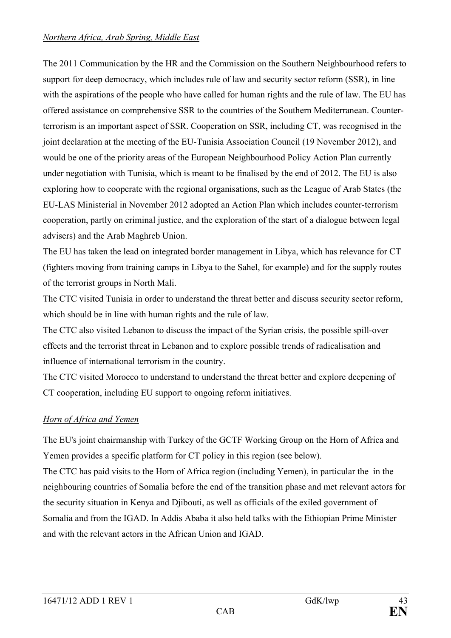### *Northern Africa, Arab Spring, Middle East*

The 2011 Communication by the HR and the Commission on the Southern Neighbourhood refers to support for deep democracy, which includes rule of law and security sector reform (SSR), in line with the aspirations of the people who have called for human rights and the rule of law. The EU has offered assistance on comprehensive SSR to the countries of the Southern Mediterranean. Counterterrorism is an important aspect of SSR. Cooperation on SSR, including CT, was recognised in the joint declaration at the meeting of the EU-Tunisia Association Council (19 November 2012), and would be one of the priority areas of the European Neighbourhood Policy Action Plan currently under negotiation with Tunisia, which is meant to be finalised by the end of 2012. The EU is also exploring how to cooperate with the regional organisations, such as the League of Arab States (the EU-LAS Ministerial in November 2012 adopted an Action Plan which includes counter-terrorism cooperation, partly on criminal justice, and the exploration of the start of a dialogue between legal advisers) and the Arab Maghreb Union.

The EU has taken the lead on integrated border management in Libya, which has relevance for CT (fighters moving from training camps in Libya to the Sahel, for example) and for the supply routes of the terrorist groups in North Mali.

The CTC visited Tunisia in order to understand the threat better and discuss security sector reform, which should be in line with human rights and the rule of law.

The CTC also visited Lebanon to discuss the impact of the Syrian crisis, the possible spill-over effects and the terrorist threat in Lebanon and to explore possible trends of radicalisation and influence of international terrorism in the country.

The CTC visited Morocco to understand to understand the threat better and explore deepening of CT cooperation, including EU support to ongoing reform initiatives.

# *Horn of Africa and Yemen*

The EU's joint chairmanship with Turkey of the GCTF Working Group on the Horn of Africa and Yemen provides a specific platform for CT policy in this region (see below).

The CTC has paid visits to the Horn of Africa region (including Yemen), in particular the in the neighbouring countries of Somalia before the end of the transition phase and met relevant actors for the security situation in Kenya and Djibouti, as well as officials of the exiled government of Somalia and from the IGAD. In Addis Ababa it also held talks with the Ethiopian Prime Minister and with the relevant actors in the African Union and IGAD.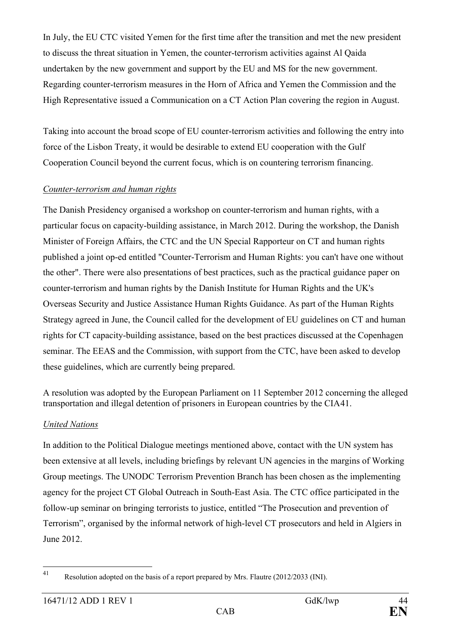In July, the EU CTC visited Yemen for the first time after the transition and met the new president to discuss the threat situation in Yemen, the counter-terrorism activities against Al Qaida undertaken by the new government and support by the EU and MS for the new government. Regarding counter-terrorism measures in the Horn of Africa and Yemen the Commission and the High Representative issued a Communication on a CT Action Plan covering the region in August.

Taking into account the broad scope of EU counter-terrorism activities and following the entry into force of the Lisbon Treaty, it would be desirable to extend EU cooperation with the Gulf Cooperation Council beyond the current focus, which is on countering terrorism financing.

### *Counter-terrorism and human rights*

The Danish Presidency organised a workshop on counter-terrorism and human rights, with a particular focus on capacity-building assistance, in March 2012. During the workshop, the Danish Minister of Foreign Affairs, the CTC and the UN Special Rapporteur on CT and human rights published a joint op-ed entitled "Counter-Terrorism and Human Rights: you can't have one without the other". There were also presentations of best practices, such as the practical guidance paper on counter-terrorism and human rights by the Danish Institute for Human Rights and the UK's Overseas Security and Justice Assistance Human Rights Guidance. As part of the Human Rights Strategy agreed in June, the Council called for the development of EU guidelines on CT and human rights for CT capacity-building assistance, based on the best practices discussed at the Copenhagen seminar. The EEAS and the Commission, with support from the CTC, have been asked to develop these guidelines, which are currently being prepared.

A resolution was adopted by the European Parliament on 11 September 2012 concerning the alleged transportation and illegal detention of prisoners in European countries by the CIA[41.](#page-43-0)

### *United Nations*

In addition to the Political Dialogue meetings mentioned above, contact with the UN system has been extensive at all levels, including briefings by relevant UN agencies in the margins of Working Group meetings. The UNODC Terrorism Prevention Branch has been chosen as the implementing agency for the project CT Global Outreach in South-East Asia. The CTC office participated in the follow-up seminar on bringing terrorists to justice, entitled "The Prosecution and prevention of Terrorism", organised by the informal network of high-level CT prosecutors and held in Algiers in June 2012.

<span id="page-43-0"></span> <sup>41</sup> Resolution adopted on the basis of a report prepared by Mrs. Flautre (2012/2033 (INI).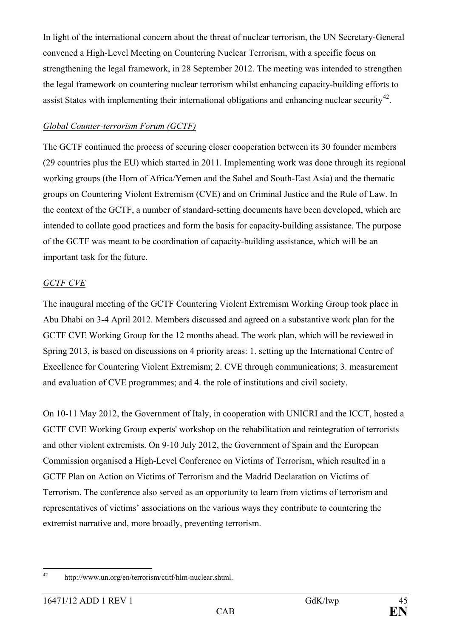In light of the international concern about the threat of nuclear terrorism, the UN Secretary-General convened a High-Level Meeting on Countering Nuclear Terrorism, with a specific focus on strengthening the legal framework, in 28 September 2012. The meeting was intended to strengthen the legal framework on countering nuclear terrorism whilst enhancing capacity-building efforts to assist States with implementing their international obligations and enhancing nuclear security<sup>42</sup>.

### *Global Counter-terrorism Forum (GCTF)*

The GCTF continued the process of securing closer cooperation between its 30 founder members (29 countries plus the EU) which started in 2011. Implementing work was done through its regional working groups (the Horn of Africa/Yemen and the Sahel and South-East Asia) and the thematic groups on Countering Violent Extremism (CVE) and on Criminal Justice and the Rule of Law. In the context of the GCTF, a number of standard-setting documents have been developed, which are intended to collate good practices and form the basis for capacity-building assistance. The purpose of the GCTF was meant to be coordination of capacity-building assistance, which will be an important task for the future.

# *GCTF CVE*

The inaugural meeting of the GCTF Countering Violent Extremism Working Group took place in Abu Dhabi on 3-4 April 2012. Members discussed and agreed on a substantive work plan for the GCTF CVE Working Group for the 12 months ahead. The work plan, which will be reviewed in Spring 2013, is based on discussions on 4 priority areas: 1. setting up the International Centre of Excellence for Countering Violent Extremism; 2. CVE through communications; 3. measurement and evaluation of CVE programmes; and 4. the role of institutions and civil society.

On 10-11 May 2012, the Government of Italy, in cooperation with UNICRI and the ICCT, hosted a GCTF CVE Working Group experts' workshop on the rehabilitation and reintegration of terrorists and other violent extremists. On 9-10 July 2012, the Government of Spain and the European Commission organised a High-Level Conference on Victims of Terrorism, which resulted in a GCTF Plan on Action on Victims of Terrorism and the Madrid Declaration on Victims of Terrorism. The conference also served as an opportunity to learn from victims of terrorism and representatives of victims' associations on the various ways they contribute to countering the extremist narrative and, more broadly, preventing terrorism.

<span id="page-44-0"></span> <sup>42</sup> http://www.un.org/en/terrorism/ctitf/hlm-nuclear.shtml.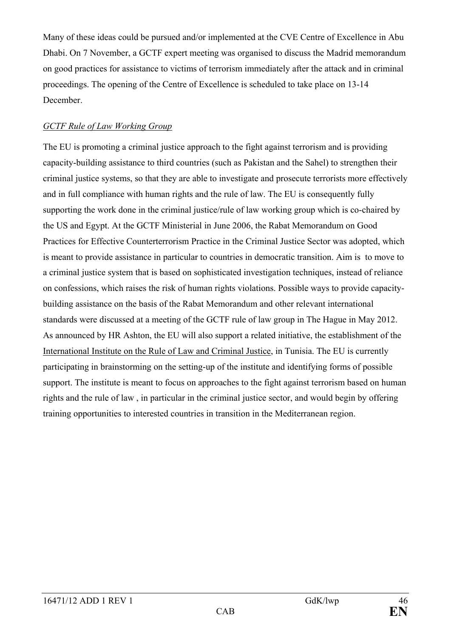Many of these ideas could be pursued and/or implemented at the CVE Centre of Excellence in Abu Dhabi. On 7 November, a GCTF expert meeting was organised to discuss the Madrid memorandum on good practices for assistance to victims of terrorism immediately after the attack and in criminal proceedings. The opening of the Centre of Excellence is scheduled to take place on 13-14 December.

### *GCTF Rule of Law Working Group*

The EU is promoting a criminal justice approach to the fight against terrorism and is providing capacity-building assistance to third countries (such as Pakistan and the Sahel) to strengthen their criminal justice systems, so that they are able to investigate and prosecute terrorists more effectively and in full compliance with human rights and the rule of law. The EU is consequently fully supporting the work done in the criminal justice/rule of law working group which is co-chaired by the US and Egypt. At the GCTF Ministerial in June 2006, the Rabat Memorandum on Good Practices for Effective Counterterrorism Practice in the Criminal Justice Sector was adopted, which is meant to provide assistance in particular to countries in democratic transition. Aim is to move to a criminal justice system that is based on sophisticated investigation techniques, instead of reliance on confessions, which raises the risk of human rights violations. Possible ways to provide capacitybuilding assistance on the basis of the Rabat Memorandum and other relevant international standards were discussed at a meeting of the GCTF rule of law group in The Hague in May 2012. As announced by HR Ashton, the EU will also support a related initiative, the establishment of the International Institute on the Rule of Law and Criminal Justice, in Tunisia. The EU is currently participating in brainstorming on the setting-up of the institute and identifying forms of possible support. The institute is meant to focus on approaches to the fight against terrorism based on human rights and the rule of law , in particular in the criminal justice sector, and would begin by offering training opportunities to interested countries in transition in the Mediterranean region.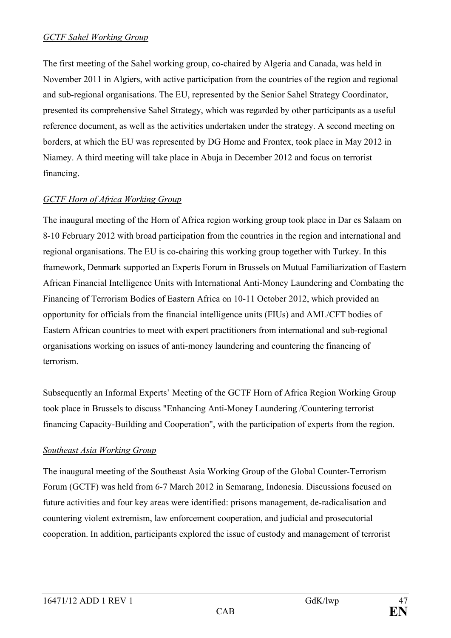#### *GCTF Sahel Working Group*

The first meeting of the Sahel working group, co-chaired by Algeria and Canada, was held in November 2011 in Algiers, with active participation from the countries of the region and regional and sub-regional organisations. The EU, represented by the Senior Sahel Strategy Coordinator, presented its comprehensive Sahel Strategy, which was regarded by other participants as a useful reference document, as well as the activities undertaken under the strategy. A second meeting on borders, at which the EU was represented by DG Home and Frontex, took place in May 2012 in Niamey. A third meeting will take place in Abuja in December 2012 and focus on terrorist financing.

# *GCTF Horn of Africa Working Group*

The inaugural meeting of the Horn of Africa region working group took place in Dar es Salaam on 8-10 February 2012 with broad participation from the countries in the region and international and regional organisations. The EU is co-chairing this working group together with Turkey. In this framework, Denmark supported an Experts Forum in Brussels on Mutual Familiarization of Eastern African Financial Intelligence Units with International Anti-Money Laundering and Combating the Financing of Terrorism Bodies of Eastern Africa on 10-11 October 2012, which provided an opportunity for officials from the financial intelligence units (FIUs) and AML/CFT bodies of Eastern African countries to meet with expert practitioners from international and sub-regional organisations working on issues of anti-money laundering and countering the financing of terrorism.

Subsequently an Informal Experts' Meeting of the GCTF Horn of Africa Region Working Group took place in Brussels to discuss "Enhancing Anti-Money Laundering /Countering terrorist financing Capacity-Building and Cooperation", with the participation of experts from the region.

# *Southeast Asia Working Group*

The inaugural meeting of the Southeast Asia Working Group of the Global Counter-Terrorism Forum (GCTF) was held from 6-7 March 2012 in Semarang, Indonesia. Discussions focused on future activities and four key areas were identified: prisons management, de-radicalisation and countering violent extremism, law enforcement cooperation, and judicial and prosecutorial cooperation. In addition, participants explored the issue of custody and management of terrorist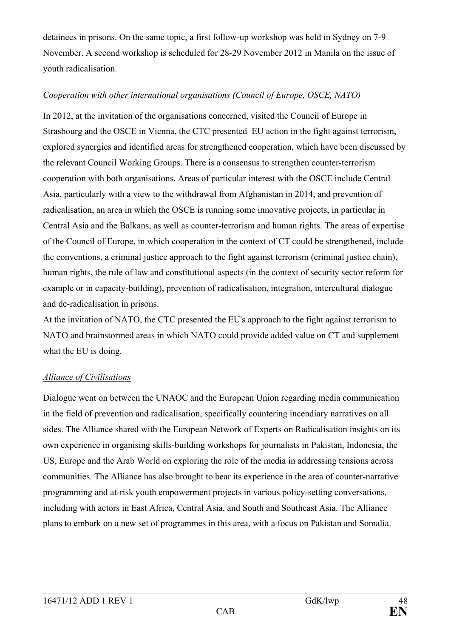detainees in prisons. On the same topic, a first follow-up workshop was held in Sydney on 7-9 November. A second workshop is scheduled for 28-29 November 2012 in Manila on the issue of youth radicalisation.

### *Cooperation with other international organisations (Council of Europe, OSCE, NATO)*

In 2012, at the invitation of the organisations concerned, visited the Council of Europe in Strasbourg and the OSCE in Vienna, the CTC presented EU action in the fight against terrorism, explored synergies and identified areas for strengthened cooperation, which have been discussed by the relevant Council Working Groups. There is a consensus to strengthen counter-terrorism cooperation with both organisations. Areas of particular interest with the OSCE include Central Asia, particularly with a view to the withdrawal from Afghanistan in 2014, and prevention of radicalisation, an area in which the OSCE is running some innovative projects, in particular in Central Asia and the Balkans, as well as counter-terrorism and human rights. The areas of expertise of the Council of Europe, in which cooperation in the context of CT could be strengthened, include the conventions, a criminal justice approach to the fight against terrorism (criminal justice chain), human rights, the rule of law and constitutional aspects (in the context of security sector reform for example or in capacity-building), prevention of radicalisation, integration, intercultural dialogue and de-radicalisation in prisons.

At the invitation of NATO, the CTC presented the EU's approach to the fight against terrorism to NATO and brainstormed areas in which NATO could provide added value on CT and supplement what the EU is doing.

# *Alliance of Civilisations*

Dialogue went on between the UNAOC and the European Union regarding media communication in the field of prevention and radicalisation, specifically countering incendiary narratives on all sides. The Alliance shared with the European Network of Experts on Radicalisation insights on its own experience in organising skills-building workshops for journalists in Pakistan, Indonesia, the US, Europe and the Arab World on exploring the role of the media in addressing tensions across communities. The Alliance has also brought to bear its experience in the area of counter-narrative programming and at-risk youth empowerment projects in various policy-setting conversations, including with actors in East Africa, Central Asia, and South and Southeast Asia. The Alliance plans to embark on a new set of programmes in this area, with a focus on Pakistan and Somalia.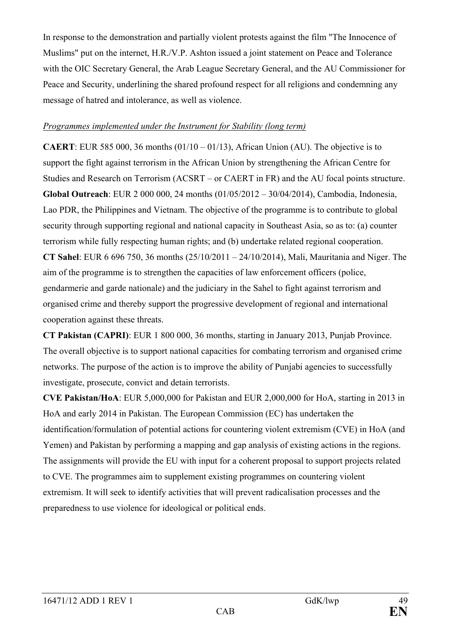In response to the demonstration and partially violent protests against the film "The Innocence of Muslims" put on the internet, H.R./V.P. Ashton issued a joint statement on Peace and Tolerance with the OIC Secretary General, the Arab League Secretary General, and the AU Commissioner for Peace and Security, underlining the shared profound respect for all religions and condemning any message of hatred and intolerance, as well as violence.

#### *Programmes implemented under the Instrument for Stability (long term)*

**CAERT**: EUR 585 000, 36 months  $(01/10 - 01/13)$ , African Union (AU). The objective is to support the fight against terrorism in the African Union by strengthening the African Centre for Studies and Research on Terrorism (ACSRT – or CAERT in FR) and the AU focal points structure. **Global Outreach**: EUR 2 000 000, 24 months (01/05/2012 – 30/04/2014), Cambodia, Indonesia, Lao PDR, the Philippines and Vietnam. The objective of the programme is to contribute to global security through supporting regional and national capacity in Southeast Asia, so as to: (a) counter terrorism while fully respecting human rights; and (b) undertake related regional cooperation. **CT Sahel**: EUR 6 696 750, 36 months (25/10/2011 – 24/10/2014), Mali, Mauritania and Niger. The aim of the programme is to strengthen the capacities of law enforcement officers (police, gendarmerie and garde nationale) and the judiciary in the Sahel to fight against terrorism and organised crime and thereby support the progressive development of regional and international cooperation against these threats.

**CT Pakistan (CAPRI)**: EUR 1 800 000, 36 months, starting in January 2013, Punjab Province. The overall objective is to support national capacities for combating terrorism and organised crime networks. The purpose of the action is to improve the ability of Punjabi agencies to successfully investigate, prosecute, convict and detain terrorists.

**CVE Pakistan/HoA**: EUR 5,000,000 for Pakistan and EUR 2,000,000 for HoA, starting in 2013 in HoA and early 2014 in Pakistan. The European Commission (EC) has undertaken the identification/formulation of potential actions for countering violent extremism (CVE) in HoA (and Yemen) and Pakistan by performing a mapping and gap analysis of existing actions in the regions. The assignments will provide the EU with input for a coherent proposal to support projects related to CVE. The programmes aim to supplement existing programmes on countering violent extremism. It will seek to identify activities that will prevent radicalisation processes and the preparedness to use violence for ideological or political ends.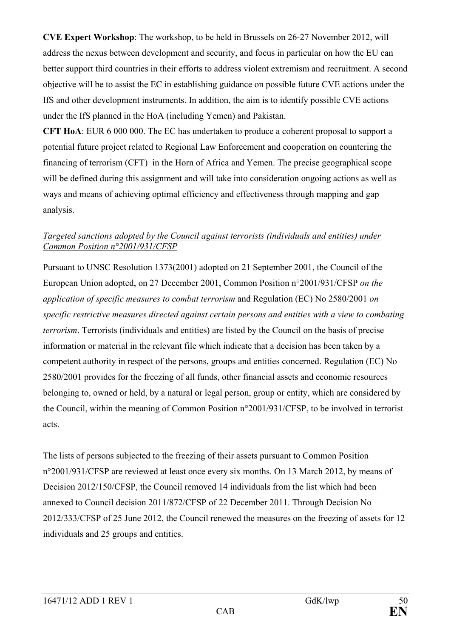**CVE Expert Workshop**: The workshop, to be held in Brussels on 26-27 November 2012, will address the nexus between development and security, and focus in particular on how the EU can better support third countries in their efforts to address violent extremism and recruitment. A second objective will be to assist the EC in establishing guidance on possible future CVE actions under the IfS and other development instruments. In addition, the aim is to identify possible CVE actions under the IfS planned in the HoA (including Yemen) and Pakistan.

**CFT HoA**: EUR 6 000 000. The EC has undertaken to produce a coherent proposal to support a potential future project related to Regional Law Enforcement and cooperation on countering the financing of terrorism (CFT) in the Horn of Africa and Yemen. The precise geographical scope will be defined during this assignment and will take into consideration ongoing actions as well as ways and means of achieving optimal efficiency and effectiveness through mapping and gap analysis.

### *Targeted sanctions adopted by the Council against terrorists (individuals and entities) under Common Position n°2001/931/CFSP*

Pursuant to UNSC Resolution 1373(2001) adopted on 21 September 2001, the Council of the European Union adopted, on 27 December 2001, Common Position n°2001/931/CFSP *on the application of specific measures to combat terrorism* and Regulation (EC) No 2580/2001 *on specific restrictive measures directed against certain persons and entities with a view to combating terrorism*. Terrorists (individuals and entities) are listed by the Council on the basis of precise information or material in the relevant file which indicate that a decision has been taken by a competent authority in respect of the persons, groups and entities concerned. Regulation (EC) No 2580/2001 provides for the freezing of all funds, other financial assets and economic resources belonging to, owned or held, by a natural or legal person, group or entity, which are considered by the Council, within the meaning of Common Position n°2001/931/CFSP, to be involved in terrorist acts.

The lists of persons subjected to the freezing of their assets pursuant to Common Position n°2001/931/CFSP are reviewed at least once every six months. On 13 March 2012, by means of Decision 2012/150/CFSP, the Council removed 14 individuals from the list which had been annexed to Council decision 2011/872/CFSP of 22 December 2011. Through Decision No 2012/333/CFSP of 25 June 2012, the Council renewed the measures on the freezing of assets for 12 individuals and 25 groups and entities.